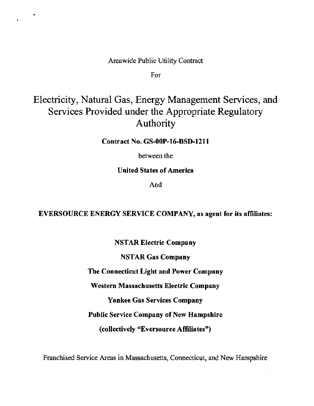# Areawide Public Utility Contract

"

For

# Electricity, Natural Gas, Energy Management Services, and Services Provided under the Appropriate Regulatory Authority

Contract No. GS-OOP-16-BSD-1211

between the

# **United States of America**

And

# EVERSOURCE ENERGY SERVICE COMPANY, as agent for its affiliates:

NSTAR Electric Company NSTAR Gas Company The Connecticut Light and Power Company Western Massachusetts Electric Company Yankee Gas Services Company Public Service Company of New Hampshire

(collectively "Eversource Affiliates")

Franchised Service Areas in Massachusetts, Connecticut, and New Hampshire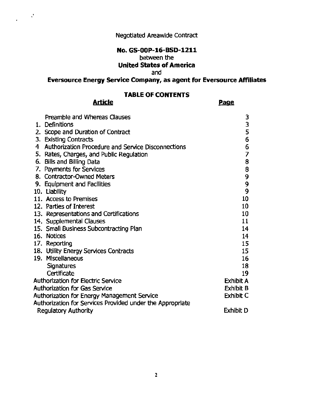# Negotiated Areawide Contract

# **No. GS-OOP-16-BSD-1211**

between the

# **United States of America**

# and

**Eversource Energy Service Company, as agent for Eversource Affiliates** 

# **TABLE OF CONTENTS**

**Article** 

 $\frac{1}{2}$  ,  $\frac{1}{2}$ 

Page

| Preamble and Whereas Clauses                              | 3                |
|-----------------------------------------------------------|------------------|
| 1. Definitions                                            | 3                |
| 2. Scope and Duration of Contract                         | 5                |
| 3. Existing Contracts                                     | 6                |
| 4 Authorization Procedure and Service Disconnections      | 6                |
| 5. Rates, Charges, and Public Regulation                  | 7                |
| 6. Bills and Billing Data                                 | 8                |
| 7. Payments for Services                                  | 8                |
| 8. Contractor-Owned Meters                                | 9                |
| 9. Equipment and Facilities                               | 9                |
| 10. Liability                                             | 9                |
| 11. Access to Premises                                    | 10               |
| 12. Parties of Interest                                   | 10               |
| 13. Representations and Certifications                    | 10               |
| 14. Supplemental Clauses                                  | 11               |
| 15. Small Business Subcontracting Plan                    | 14               |
| 16. Notices                                               | 14               |
| 17. Reporting                                             | 15               |
| 18. Utility Energy Services Contracts                     | 15               |
| 19. Miscellaneous                                         | 16               |
| <b>Signatures</b>                                         | 18               |
| Certificate                                               | 19               |
| <b>Authorization for Electric Service</b>                 | <b>Exhibit A</b> |
| <b>Authorization for Gas Service</b>                      | Exhibit B        |
| Authorization for Energy Management Service               | <b>Exhibit C</b> |
| Authorization for Services Provided under the Appropriate |                  |
| <b>Regulatory Authority</b>                               | Exhibit D        |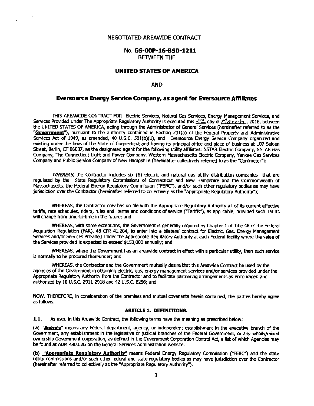# NEGOTIATED AREAWIDE CONTRACT

 $\mathcal{L}$ 

# No. GS-OOP-16-BSD-1211 BETWEEN THE

# UNITED STATES OF AMERICA

# AND

## Eversource Energy Service Company, as agent for Eversource Affiliates

THIS AREAWIDE CONTRACT FOR Electric Services, Natural Gas Services, Energy Management Services, and Services Provided Under The Appropriate Regulatory Authority is executed this 3<sup>rd</sup>, day of *March* . 2016, between the UNITED STATES OF AMERICA, acting through the Administrator of General Services (hereinafter referred to as the "Government"), pursuant to the authority contained in Section 201(a) of the Federal Property and Administrative Services Act of 1949, as amended, 40 U.S.C. 501(b)(1), and Eversource Energy Service Company organized and existing under the laws of the State of Connecticut and having Its principal office and place of business at 107 Selden Street, Berlin, er 06037, as the designated agent for the following utility affiliates: NSTAR Electric Company, NSTAR Gas Company, The Connecticut Light and Power Company, Western Massachusetts Electric Company, Yankee Gas Services Company and Public Service Company of New Hampshire (hereinafter collectively referred to as the "Contractor"):

*WHEREAS,* the Contractor includes six (6) electric and natural gas utility distribution companies that are regulated by the State Regulatory Commissions of Connecticut and New Hampshire and the Commonwealth of Massachusetts. the Federal Energy Regulatory Commission ("FERC'), and/or such other regulatory bodies as may have jurisdiction over the Contractor (hereinafter referred to collectively as the "Appropriate Regulatory Authority");

WHEREAS, the Contractor now has on file with the Appropriate Regulatory Authority all of its current effective tariffs, rate schedules, riders, rules and terms and conditions of service ("Tariffs"), as applicable; provided such Tariffs will change from time-to-time in the future; and

WHEREAS, with some exceptions, the Government is generally required by Chapter 1 of Title 48 of the Federal Acquisition Regulation (FAR), 48 CFR 41.204, to enter into a bilateral contract for Electric, Gas, Energy Management Services and/or Services Provided Under the Appropriate Regulatory Authority at each Federal facility where the value of the Services provided is expected to exceed \$150,000 annually; and

WHEREAS, where the Government has an areawide contract in effect with a particular utility, then such service is normally to be procured thereunder; and

WHEREAS, the Contractor and the Government mutually desire that this Areawide Contract be used by the agencies of the Government in obtaining electric, gas, energy management services and/or services provided under the Appropriate Regulatory Authority from the Contractor and to facilitate partnering arrangements as encouraged and authorized by 10 U.S.C. 2911-2918 and 42 U.S.C. 8256; and

NOW, THEREFORE, in consideration of the premises and mutual covenants herein contained, the parties hereby agree as follows:

#### **ARTICLE 1. DEFINITIONS.**

1.1. As used in this Areawide Contract, the following terms have the meaning as prescribed below:

(a) "Agency" means any Federal department, agency, or independent establishment in the executive branch of the Government, any establishment in the legislative or Judicial branches of the Federal Government, or any wholly/mixed ownership Government corporation, as defined in the Government Corporation Control Act, a list of which Agencies may be found at ADM 4800.2G on the General Services Administration website.

(b) "Appropriate Regulatory Authority" means Federal Energy Regulatory Commission ("FERC") and the state utility commissions and/or such other federal and state regulatory bodies as may have jurisdiction over the Contractor (hereinafter referred to collectively as the "Appropriate Regulatory Authority").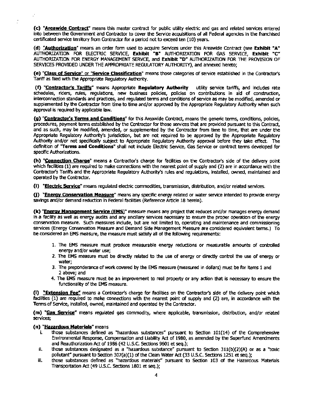(c) "Areawide Contract" means this master contract for public utility electric and gas and related services entered Into between the Government and Contractor to cover the Service acquisitions of all Federal agencies in the franchised certificated service territory from Contractor for a period not to exceed ten (10) years.

(d) "Authorization" means an order form used to acquire Services under this Areawide Contract (see Exhibit "A" AUTHORIZATION FOR ELECTRIC SERVICE, Exhibit "B" AUTHORIZATION FOR GAS SERVICE, Exhibit "C" AUTHORIZATION FOR ENERGY MANAGEMENT SERVCE, and Exhibit "D" AUTHORIZATION FOR THE PROVISION OF SERVICES PROVIDED UNDER THE APPROPRIATE REGULATORY AUTHORITY), and annexed hereto;

(e) "Class of Service" or "Service Classification" means those categories of service established in the Contractor's Tariff as filed with the Appropriate Regulatory Authority.

(f) "Contractor's Tariffs" means Appropriate Regulatory Authority utility service tariffs, and includes rate schedules, riders, rules, regulations, new business policies, policies on contributions in aid of construction, interconnection standards and practices, and regulated terms and conditions of service as may be modified, amended or supplemented by the Contractor from time to time and/or approved by the Appropriate Regulatory Authority when such approval is required by applicable law.

(g) "Contractor's Terms and Conditions" for this Areawide Contract, means the generic terms, conditions, policies, procedures, payment terms established by the Contractor for those services that are provided pursuant to this Contract, and as such, may be modified, amended, or supplemented by the Contractor from time to time, that are under the Appropriate Regulatory Authority's jurisdiction, but are not required to be approved by the Appropriate Regulatory Authority and/or not specifically subject to Appropriate Regulatory Authority approval before they take effect. The definition of "Terms and Conditions" shall not include Electric Service, Gas Service or contract terms developed for specific Authorizations.

(h) "Connection Charge" means a Contractor's charge for facilities on the Contractor's side of the delivery point which facilities (1) are required to make connections with the nearest point of supply and (2) are in accordance with the Contractor's Tariffs and the Appropriate Regulatory Authority's rules and regulations, installed, owned, maintained and operated by the Contractor.

(i) "Electric Service" means requiated electric commodities, transmission, distribution, and/or related services.

(i) "Energy Conservation Measure" means any specific energy related or water service intended to provide energy savings and/or demand reduction in Federal facilities (Reference Article 18 herein).

(k) "Energy Management Service (EMS)" measure means any project that reduces and/or manages energy demand in a facility as well as energy audits and any ancillary services necessary to ensure the proper operation of the energy conservation measure. Such measures include, but are not limited to, operating and maintenance and commissioning services (Energy Conservation Measure and Demand Side Management Measure are considered equivalent terms.) To be considered an EMS measure, the measure must satisfy all of the following requirements:

- 1. The EMS measure must produce measurable energy reductions or measurable amounts of controlled energy and/or water use;
- 2. The EMS measure must be directly related to the use of energy or directly control the use of energy or water;
- 3. The preponderance of work covered by the EMS measure (measured in dollars) must be for Items 1 and 2 above; and
- 4. The EMS measure must be an improvement to real property or any action that is necessary to ensure the functionality of the EMS measure.

(I) "Extension Fee" means a Contractor's charge for facilities on the Contractor's side of the delivery point which facilities (1) are required to make connections with the nearest point of supply and (2) are, in accordance with the Terms of Service, installed, owned, maintained and operated by the Contractor.

(m) "Gas Service" means regulated gas commodity, where applicable, transmission, distribution, and/or related services;

# (n) "Hazardous Materials" means

 $\mathcal{L}^{\mathcal{I}}$ 

- i. those substances defined as "hazardous substances" pursuant to Section 101(14) of the Comprehensive Environmental Response, Compensation and Liability Act of 1980, as amended by the Superfund Amendments and Reauthorization Act of 1986 (42 U.S.C. Sections 9601 et seq.);
- ii. those substances designated as a "hazardous substance" pursuant to Section  $311(b)(2)(A)$  or as a "toxic pollutant" pursuant to Section 307(a)(1) of the Clean Water Act (33 U.S.C. Sections 1251 et seq.);
- iii. those substances defined as "hazardous materials" pursuant to Section 103 of the Hazardous Materials Transportation Act (49 U.S.C. Sections 1801 et seq.);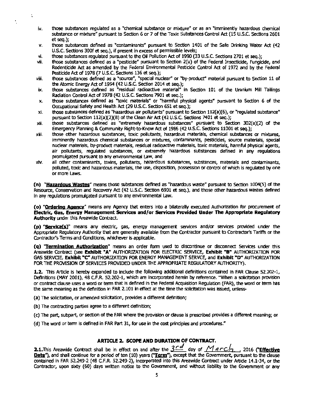- iv. those substances regulated as a "chemical substance or mixture" or as an "imminently hazardous chemical substance or mixture" pursuant to Section 6 or 7 of the Toxic Substances Control Act (15 U.S.C. Sections 2601 et seq.);
- v. those substances defined as "contaminants" pursuant to Section 1401 of the Safe Drinking Water Act (42 U.S.C. Sections 300f et seq.), If present in excess of permissible levels;
- vi. those substances regulated pursuant to the Oil Pollution Act of 1990 (33 U.S.C. Sections 2701 et seq.);<br>vii. those substances defined as a "pesticide" pursuant to Section 2(u) of the Federal Insecticide, Fungio
- those substances defined as a "pesticide" pursuant to Section 2(u) of the Federal Insecticide, Fungicide, and Rodenticide Act as amended by the Federal Environmental Pesticide Control Act of 1972 and by the Federal Pesticide Act of 1978 (7 U.S.C. Sections 136 et seq.);
- viii. those substances defined as a "source", "special nuclear" or "by-product" material pursuant to Section 11 of the Atomic Energy Act of 1954 (42 U.S.C. Section 2014 et seq.);
- ix. those substances defined as "residual radioactive material" In Section 101 of the Uranium Mill Tailings Radiation Control Act of 1978 (42 U.S.C. Sections 7901 et seq.);
- x. those substances defined as "toxic materials" or "harmful physical agents" pursuant to Section 6 of the Occupational Safety and Health Act (29 U.S.C. Section 651 et seq.);
- xi. those substances defined as "hazardous air pollutants" pursuant to Section 112(a)(6), or "regulated substance" pursuant to Section 112(a)(2)(B) of the Oean Air Act (42 U.S.C. Sections 7401 et seq.);
- xii. those substances defined as "extremely hazardous substances" pursuant to Section 302(a)(2) of the Emergency Planning & Community Right-to-Know Act of 1986 (42 U.S.C. Sections 11001 et seq.);
- xiii. those other hazardous substances, toxic pollutants, hazardous materials, chemical substances or mixtures, imminently hazardous chemical substances or mixtures, contaminants, pesticides, source materials, special nuclear materials, by-product materials, residual radioactive materials, toxic materials, harmful physical agents, air pollutants, regulated substances, or extremely hazardous substances defined in any regulations promulgated pursuant to any environmental Law, and
- xiv. all other contaminants, toxins, pollutants, hazardous substances, substances, materials and contaminants, polluted, toxic and hazardous materials, the use, disposition, possession or control of which is regulated by one or more Laws.

(n) "Hazardous Wastes" means those substances defined as "hazardous waste" pursuant to Section 1004(5) of the Resource, Conservation and Recovery Act (42 U.S.C. Section 6901 et seq.), and those other hazardous wastes defined in any regulations promulgated pursuant to any environmental Law.

(o) "Ordering Agency" means any Agency that enters into a bilaterally executed Authorization for procurement of **Electric, Gas, Energy Management Services and/or Services Provided Under The Appropriate Regulatory Authority** under this Areawide Contract.

**(p) "5ervlce(s)"** means any electric, gas, energy management services and/or services provided under the Appropriate Regulatory Authority that are generally available from the Contractor pursuant to Contractor's Tariffs or the Contractor's Terms and Conditions, whichever is applicable.

**(q) ''Termination Authorization"** means an order form used to discontinue or disconnect Services under this Areawide Contract (see **Exhibit "A"** AUTHORIZATION FOR ELECTRIC SERVICE, **Exhibit "8"** AUTHORIZATION FOR GAS SERVOE, **Exhibit** •C"' AUTHORIZATION FOR ENERGY MANAGEMENT SERVCE, and **Exhibit •o"** AUTHORIZATION FOR THE PROVISION OF SERVICES PROVIDED UNDER THE APPROPRIATE REGULATORY AUTHORITY).

**1.2.** This Article is hereby expanded to include the following additional definitions contained in FAR Oause 52.202-1, Definitions (MAY 2001), 48 C.F.R. 52.202-1, which are incorporated herein by reference. "When a solicitation provision or contract dause uses a word or term that is defined in the Federal Acquisition Regulation (FAR), the word or term has the same meaning as the definition in FAR 2.101 in effect at the time the solicitation was issued, unless-

(a) The solicitation, or amended solicitation, provides a different definition;

(b) The contracting parties agree to a different definition;

÷

- (c) The part, subpart, or section of the FAR where the provision or clause is prescribed provides a different meaning; or
- (d) The word or term is defined in FAR Part 31, for use in the cost principles and procedures."

# **ARTlCLE 2. SCOPE AND DURATlON OF CONTRACT.**

2.1. This Areawide Contract shall be in effect on and after the  $3rd$  day of *M arch* , 2016 ("**Effective Date")**, and shall continue for a period of ten (10) years ("Term"), except that the Government, pursuant to the clause contained in FAR 52.249-2 (48 C.F.R. 52.249-2), incorporated into this Areawide Contract under Article 14.1-34, or the Contractor, upon sixty (60) days written notice to the Government, and without liability to the Government or any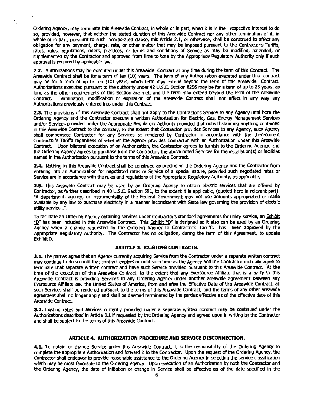Ordering Agency, may terminate this Areawide Contract, In whole or in part, when it is in their respective Interest to do so, provided, however, that neither the stated duration of this Areawide Contract nor any other tennination of it, in whole or in part, pursuant to such incorporated clause, this Article 2.1, or otherwise, shall be construed to affect any obligation for any payment, charge, rate, or other matter that may be imposed pursuant to the Contractor's Tariffs, rates, rules, regulations, riders, practices, or terms and conditions of Service as may be modified, amended, or supplemented by the Contractor and approved from time to time by the Appropriate Regulatory Authority only if such approval is required by applicable law.

٠.

**2.2.** Authorizations may be executed under this Areawide Contract at any time during the term of this Contract. The Areawide Contract shall be for a term of ten (10) years. The term of any Authorization executed under this contract may be for a term of up to ten (10) years, which term may extend beyond the term of this Areawide Contract. Authorizations executed pursuant to the authority under 42 U.S.C. Section 8256 may be for a term of up to 25 years, as long as the other requirements of this Section are met, and the term may extend beyond the term of the Areawide Contract. Termination, modification or expiration *d* the Areawide Contract shall not affect in any way any Authorizations previously entered into under this Contract.

**2.3.** The provisions of this Areawide Contract shall not apply to the Contractor's Service to any Agency until both the Ordering Agency and the Contractor execute a written Authorization for Electric, Gas, Energy Management Services and/or Services provided under the Appropriate Regulatory Authority provided that notwithstanding anything contained in this Areawide Contract to the contrary, to the extent that Contractor provides Services to any Agency, such Agency shall compensate Contractor for any Services so rendered by Contractor in accordance with the then-current Contractor's Tariffs regardless of whether the Agency provides Contractor with an Authorization under this Areawide Contract. Upon bilateral execution of an Authorization, the Contractor agrees to furnish to the Ordering Agency, and the Ordering Agency agrees to purchase from the Contractor, the above noted Services for the installation(s) or facilities named in the Autflorization pursuant to the terms of this Areawide Contract.

**2.4.** Nothing in this Areawide Contract shall be construed as precluding the Ordering Agency and the Contractor from entering into an Authorization for negotiated rates or Service of a special nature, provided such negotiated rates or Service are in accordance with the rules and regulations of the Appropriate Regulatory Authority, as applicable.

**2.5.** This Areawide Contract may be used by an Ordering Agency to obtain electric services that are offered by Contractor, as further described in 40 U.S.C. Section 591, to the extent it is applicable, (quoted here in relevant part): "'A department, agency, or Instrumentality of the Federal Government may not use amounts appropriated or made available by any law to purchase electricity in a manner Inconsistent with State law governing the provision of electric utility service... ".

To facilitate an Ordering Agency obtaining services under Contractor's standard agreements for utility service, an Exhibit "D" has been included in this Areawide Contract. This Exhibit "D" is designed so it also can be used by an Ordering Agency when a change requested by the Ordering Agency to Contractor's Tarriffs has been approved by the Appropriate Regulatory Authority. The Contractor has no obligation, during the term of this Agreement, to update Exhibit D.

#### **ARTICLE 3. EXISTING CONTRACTS.**

**3.1.** The parties agree that an Agency currently acquiring Service from the Contractor under a separate written contract may continue to do so until that contract expires or until such time as the Agency and the Contractor mutually agree to terminate that separate written contract and have such Service provided pursuant to this Areawide Contract. At the time of the execution of this Areawide Contract, to the extent that any Eversource Affiliate that is a party to this Areawide Contract is providing Services to any Ordering Agency under another areawide agreement between any Eversource Affiliate and the United States of America, from and after the Effective Date of this Areawide Contract, all such Services shall be rendered pursuant to the terms of this Areawide Contract, and the terms of any other areawide agreement shall no longer apply and shall be deemed terminated by the parties effective as of the effective date of this Areawide Contract.

**3.2.** Existing rates and services currently provided under a separate written contract may be continued under the Authorizations described In Artide 3.1 if requested by the Ordering Agency and agreed upon in writing by the Contractor and shall be subject to the terms of this Areawide Contract.

#### **ARTICLE 4. AUTHORIZATION PROCEDURE AND SERVICE DISCONNECTION.**

**4.1.** To obtain or change Service under this Areawide Contract, it is the responsibility of the Ordering Hjency to complete the appropriate Authorization and forward it to the Contractor. Upon the request of the Ordering Agency, the Contractor shall endeavor to provide reasonable assistance to the Ordering Agency In selecting the service classification which may be most favorable to the Ordering Agency. Upon execution of an Authorization by both the Contractor and the Ordering Agency, the date of initiation or change in Service shall be effective as of the date specified in the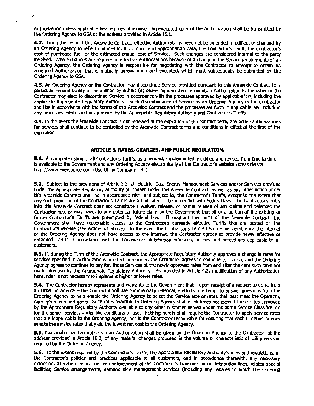Authorization unless applicable law requires otherwise. An executed copy of the Authorization shall be transmitted by the Ordering Agency to GSA at the address provided in Artide 16.1.

..

 $\cdot$ 

**4.2.** During the Term of this Areawide Contract, effective Authorizations need not be amended, modified, or changed by an Ordering Agency to reflect changes in: accounting and appropriation data, the Contractor's Tariff, the Contractor's cost of purchased fuel, or the estimated annual cost of Service. Such changes are considered Internal to the party involved. Where changes are required in effective Authorizations because of a change in the Service requirements of an Ordering Agency, the Ordering Agency is responsible for negotiating with the Contractor to attempt to obtain an amended Authorization that is mutually agreed upon and executed, which must subsequently be submitted by the Ordering Agency to GSA.

**4.3.** An Ordering Agency or the Contractor may discontinue Service provided pursuant to this Areawide Contract to a particular Federal facility or installation by either: (a) delivering a written Tennination Authorization to the other or (b) Contractor may elect to discontinue Service in accordance with the processes approved by applicable law, induding the applicable Appropriate Regulatory Authority. Such discontinuance of Service by an Ordering Agency or the Contractor shall be in accordance with the terms of this Areawide Contract and the processes set forth In applicable law, including any processes established or approved by the Appropriate Regulatory Authority and Contractor's Tariffs.

**4.4.** In the event the Areawide Contract is not renewed at the expiration of the contract term, any active authorizations for services shall continue to be controlled by the Areawide Contract terms and conditions in effect at the time of the expiration

#### **ARTICLE 5. RATES, CHARGES, AND PUBUC REGULATION.**

**5.1. A** complete listing of all Contractor's Tariffs, as amended, supplemented, modified and revised from time to time, is available to the Government and any Ordering Agency electronically at the Contractor's website accessible via htto://www.eversource.com (Use Utility Company URL).

**5.2.** Subject to the provisions of Article 2.3, all Electric, Gas, Energy Management Services and/or Services provided under the Appropriate Regulatory Authority purchased under this Areawide Contract, as well as any other action under this Areawide Contract shall be in accordance with, and subject to, the Contractor's Tariffs, except to the extent that any such provision of the Contractor's Tariffs are adjudicated to be in conflict with Federal law. The Contractor's entry into this Areawide Contract does not constitute a waiver, release, or partial release of any claims and defenses the Contractor has, or may have, to any potential future claim by the Government that all or a portion of the existing or future Contractor's Tariffs are preempted by federal law. Throughout the Tenn of the Areawide Contract, the Government shall have reasonable access to the Contractor's currently effective Tariffs that are posted on the Contractor's website (see Article 5.1 above). In the event the Contractor's Tariffs become inaccessible via the internet or the Ordering Agency does not have access to the Internet, the Contractor agrees to provide newly effective or amended Tariffs in accordance with the Contractor's distribution practices, policies and procedures applicable to all customers.

**5.3.** If, during the Term of this Areawide Contract, the Appropriate Regulatory Authority approves a change in rates for services specified in Authorizations in effect hereunder, the Contractor agrees to continue to furnish, and the Ordering Agency agrees to continue to pay for, those Services at the newly approved rates from and after the date such rates are made effective by the Appropriate Regulatory Authority. As provided in Article 4.2, modification of any Authorization hereunder is not necessary to implement higher or lower rates.

**5.4.** The Contractor hereby represents and warrants to the Government that - upon receipt of a request to do so from an Ordering Agency - the Contractor will use commercially reasonable efforts to attempt to answer questions from the Ordering Agency to help enable the Ordering Agency to select the Service rate or rates that best meet the Operating Agency's needs and goals. Such rates available to Ordering Agency shall at all times not exceed those rates approved by the Appropriate Regulatory Authority available to any other rustomer served under the same Service Oassification for the same service, under like conditions of use. Nothing herein shall require the Contractor to apply service rates that are inapplicable to the Ordering Agency; nor is the Contractor responsible for ensuring that each Ordering Agency selects the service rates that yield the lowest net cost to the Ordering Agency.

**5.5.** Reasonable written notice via an Authorization shall be given by the Ordering Agency to the Contractor, at the address provided in Article 16.2, of any material changes proposed in the volume or characteristic of utility services required by the Ordering Agency.

**5.6.** To the extent required by the Contractor's Tariffs, the Appropriate Regulatory Authority's rules and regulations, or the Contractor's policies and practices applicable to all customers, and In accordance therewith, any necessary extension, alteration, relocation, or reinforcement of the Contractor's transmission or distribution lines, related special facilities, Service arrangements, demand side management services (Including any rebates to which the Ordering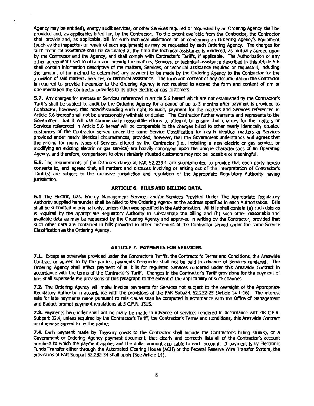Agency may be entitled), energy audit services, or other services required or requested by an Ordering Agency shall be provided and, as applicable, billed for, by the Contractor. To the extent available from the Contractor, the Contractor shall provide and, as applicable, bill for such technical assistance on or concerning an Ordering Agency's equipment (such as the Inspection or repair of such equipment) as may be requested by such Ordering Agency. The charges for such technical assistance shall be calculated at the time the technical assistance is rendered, as mutually agreed upon by the Contractor and the Agency, and shall comply with Contractor's Tariffs, if applicable. The Authorization or any other agreement used to obtain and provide the matters, Services, or technical assistance described in this Artide 5.6 shall contain information descriptive of the matters, Services, or technical assistance required or requested, including the amount of (or method to determine) any payment to be made by the Ordering Agency to the Contractor for the provision of said matters, Services, or technical assistance. The form and content of any documentation the Contractor is required to provide hereunder to the Ordering Agency is not required to exceed the form and content of similar documentation the Contractor provides to its other electric or gas customers.

·.

**5.7.** Any charges for matters or Services referenced in Article 5.6 hereof which are not established by the Contractor's Tariffs shall be subject to audit by the Ordering Agency for a period of up to 3 months after payment is provided to Contractor, however, that notwithstanding such right to audit, payment for the matters and Services referenced in Article 5.6 thereof shall not be unreasonably withheld or denied. The Contractor further warrants and represents to the Government that it will use commercially reasonable efforts to attempt to ensure that charges for the matters or Services referenced in Article 5.6 hereof will be comparable to the charges billed to other nearly identically situated customers of the Contractor served under the same Service Classification for nearly ldentlcal matters or Services provided under nearly identical circumstances, provided, however, that the Government understands and agrees that the pricing for many types of Services offered by the Contractor (i.e., installing a new electric or gas service, or modifying an existing electric or gas service) are heavily contingent upon the unique characteristics of an Operating Agency, and therefore, comparisons to other similarly situated customers may not be possible or meaningful.

**5.8.** The requirements of the Disputes dause at FAR 52.233-1 are supplemented to provide that each party hereto consents to, and agrees that, all matters and disputes involving or arising out of the interpretation of Contractor's Tariff(s) are subject to the exclusive jurisdiction and regulation of the Appropriate Regulatory Authority having jurisdiction.

#### **ARTICLE 6. BILLS AND BILLING DATA.**

**6.1** The Electric, Gas, Energy Management Services and/or Services Provided Under The Appropriate Regulatory Authority supplied hereunder shall be billed to the Ordering Agency at the address specified in each Authorization. Bills shall be submitted in original only, unless otherwise specified in the Authorization. All bills shall contain (a) such data as is required by the Appropriate Regulatory Authority to substantiate the billing and (b) such other reasonable and available data as may be requested by the Ordering Agency and approved in writing by the Contractor, provided that such other data are contained in bills provided to other customers of the Contractor served under the same Service Classification as the Ordering Agency.

#### **ARTICLE 7. PAYMENTS FOR SERVICES.**

**7.1.** Except as otherwise provided under the Contractor's Tariffs, the Contractor's Terms and Conditions, this Areawide Contract or agreed to by the parties, payments hereunder shall not be paid in advance of Services rendered. The Ordering Agency shall effect payment of all bills for regulated Services rendered under this Areawide Contract in accordance with the terms of the Contractor's Tariff. Changes in the Contractor's Tariff provisions for the payment of bills shall supersede the provisions of this paragraph to the extent of the applicability of such changes.

**7.2.** The Ordering Agency will make invoice payments for Services not subject to the oversight of the Appropriate Regulatory Authority in accordance with the provisions of the FAR Subpart 52.232-25 (Artide 14.1-16). The interest rate for late payments made pursuant to this clause shall be computed in accordance with the Office of Management and Budget prompt payment regulations at 5 C.F.R. 1315.

**7.3.** Payments hereunder shall not normally be made in advance of services rendered In accordance with 48 C.F.R. Subpart 32.4, unless required by the Contractor's Tariff, the Contractor's Terms and Conditions, this Areawide Contract or otherwise agreed to by the parties.

**7.4.** Each payment made by Treasury check to the Contractor shall indude the Contractor's billing stub(s), or a Government or Ordering Agency payment document, that clearly and correctly lists all of the Contractor's account numbers to which the payment applies and the dollar amount applicable to each account. If payment is by Electronic Funds Transfer either through the Automated Oearing House (ACH) or the Federal Reserve Wire Transfer System, the provisions of FAR Subpart 52.232-34 shall apply (See Article 14).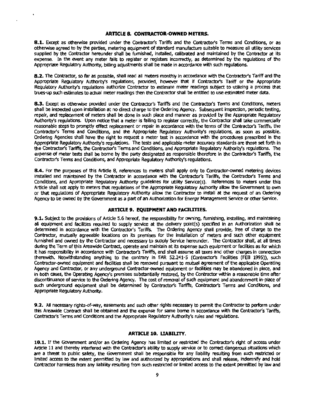#### **ARTICLE 8. CONTRACTOR-OWNED METERS.**

 $\ddot{\phantom{1}}$ 

**8.1.** Except as otherwise provided under the Contractor's Tariffs and the Contractor's Terms and Conditions, or as otherwise agreed to by the parties, metering equipment of standard manufacture suitable to measure all utility services supplied by the Contractor hereunder shall be furnished, installed, calibrated and maintained by the Contractor at its expense. In the event any meter fails to register or registers incorrectly, as determined by the regulations of the Appropriate Regulatory Authority, billing adjustments shall be made In accordance with such regulations.

8.2. The Contractor, so far as possible, shall read all meters monthly in accordance with the Contractor's Tariff and the Appropriate Regulatory Authority's regulations, provided, however that if Contractor's Tariff or the Appropriate Regulatory Authority's regulations authorize Contractor to estimate meter readings subject to utilizing a process that trues-up such estimates to actual meter readings then the Contractor shall be entitled to use estimated meter data.

**8.3.** Except as otherwise provided under the Contractor's Tariffs and the Contractor's Terms and Conditions, meters shall be inspected upon installation at no direct charge to the Ordering Agency. Subsequent inspection, periodic testing, repair, and replacement of meters shall be done in such place and manner as provided by the Appropriate Regulatory Authority's regulations. Upon notice that a meter is failing to register correctly, the Contractor shall take commercially reasonable steps to promptly effect replacement or repair In accordance with the terms of the Contractor's Tariffs, the Contractor's Terms and Conditions, and the Appropriate Regulatory Authority's regulations, as soon as possible. Ordering Agencies shall have the right to request a meter test in accordance with the procedures prescribed in the Appropriate Regulatory Authority's regulations. The tests and applicable meter accuracy standards are those set forth in the Contractor's Tariffs, the Contractor's Terms and Conditions, and Appropriate Regulatory Authority's regulations. The expense of meter tests shall be borne by the party designated as responsible therefore in the Contractor's Tariffs, the Contractor's Terms and Conditions, and Appropriate Regulatory Authority's regulations.

**8.4.** For the purposes of this Artide 8, references to meters shall apply only to Contractor-owned metering devices installed and maintained by the Contractor in accordance with the Contractor's Tariffs, the Contractor's Terms and Conditions, and Appropriate Regulatory Authority guidelines for utility Service(s}. References to meters under this Article shall not apply to meters that regulations of the Appropriate Regulatory Authority allow the Government to own or that regulations of Appropriate Regulatory Authority allow the Contractor to install at the request of an Ordering Agency to be owned by the Government as a part of an Authorization for Energy Management Service or other Service.

#### **ARTICLE 9. EQUIPMENT AND FACILITIES.**

**9.1.** Subject to the provisions of Article 5.6 hereof, the responsibility for owning, furnishing, installing, and maintaining all equipment and facilities required to supply service at the delivery point(s) specified in an Authorization shall be determined in accordance with the Contractor's Tariffs. The Ordering Agency shall provide, free of charge to the Contractor, mutually agreeable locations on its premises for the installation of meters and such other equipment furnished and owned by the Contractor and necessary to supply Service hereunder. The Contractor shall, at all times during the Term of this Areawide Contract, operate and maintain at its expense such equipment or facilities as for which it has responsibility in accordance with Contractor's Tariffs, and shall assume all taxes and other charges in connection therewith. Notwithstanding anything to the contrary in FAR 52.241-5 (Contractor's Facilities (FEB 1995)), such Contractor-owned equipment and facilities shall be removed pursuant to mutual agreement of the applicable Operating Agency and Contractor, or any underground Contractor-owned equipment or facilities may be abandoned in place, and in both cases, the Operating Agency's premises substantially restored, by the Contractor within a reasonable time after discontinuance of service to the Ordering Agency. The cost of removal of such equipment and abandonment in-place of such underground equipment shall be determined by Contractor's Tariffs, Contractor's Terms and Conditions, and Appropriate Regulatory Authority.

**9.2.** All necessary rights-of-way, easements and such other rights necessary to permit the Contractor to perform under this Areawide Contract shall be obtained and the expense for same borne in accordance with the Contractor's Tariffs, Contractor's Terms and Conditions and the Appropriate Regulatory Authority's rules and regulations.

### **ARTICLE 10. UABIUTY.**

**10.1.** If the Government and/or an Ordering Agency has limited or restricted the Contractor's right of access under Article 11 and thereby interfered with the Contractor's ability to supply service or to correct dangerous situations which are a threat to public safety, the Government shall be responsible for any liability resulting from such restricted or limited access to the extent permitted by law and authorized by appropriations and shall release, indemnify and hold Contractor harmless from any liability resulting from such restricted or limited access to the extent permitted by law and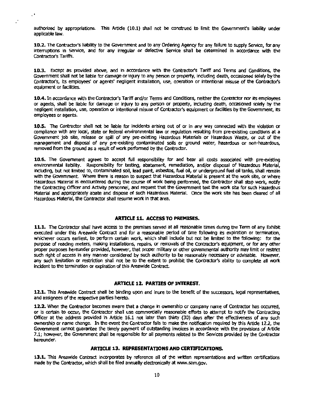authorized by appropriations. This Article (10.1) shall not be construed to limit the Government's liability under applicable law.

 $\ddot{\phantom{a}}$  .

 $\mathbf{.}$ 

**10.2.** The Contractor's liability to the Government and to any Ordering Agency for any failure to supply Service, for any Interruptions in Service, and for any irregular or defective Service shall be determined in accordance with the Contractor's Tariffs.

**10.3.** Except as provided above, and in accordance with the contractor's Tariff and Terms and Conditions, the Government shall not be liable for damage or injury to any person or property, including death, occasioned solely by the Contractor's, its employees' or agents' negligent installation, use, operation or intentional misuse of the Contractor's equipment *or* facilities.

10.4. In accordance with the Contractor's Tariff and/or Terms and Conditions, neither the Contractor nor its employees or agents, shall be liable for damage or injury to any person or property, including death, occasioned solely by the negligent installation, use, operation or intentional misuse of Contractor's equipment or facilities by the Government, its employees or agents.

**10.s.** The Contractor shall not be liable for incidents arising out of or in any way connected with the violation or compliance with any local, state or federal environmental law or regulation resulting from pre-existing conditions at a Government job site, release or spill of any pre-existing Hazardous Materials or Hazardous Waste, or out of the management and disposal of any pre-existing contaminated soils or ground water, hazardous or non-hazardous, removed from the ground as a result of work performed by the Contractor.

**10.6. The** Government agrees to accept full responsibility for and bear all costs associated with pre-existing environmental liability. Responsibility for testing, abatement, remediation, and/or disposal of Hazardous Material, including, but not limited to, contaminated soil, lead paint, asbestos, fuel oil, or underground fuel oil tanks, shall remain with the Government. Where there is reason to suspect that Hazardous Material is present at the work site, or where Hazardous Material is encountered during the course of work being performed, the Contractor shall stop work, notify the Contracting Officer and Activity personnel, and request that the Government test the work site for such Hazardous Material and appropriately abate and dispose of such Hazardous Material. Once the work site has been deared of all Hazardous Material, the Contractor shall resume work in that area.

#### **ARTICLE 11. ACCESS TO PREMISES.**

**11.1.** The Contractor shall have access to the premises served at all reasonable times during the Tenn of any Exhibit executed under this Areawide Contract and for a reasonable period of time following its expiration or termination, whichever occurs earliest, to perform certain work, which shall include but not be limited to the following: for the purpose of reading meters, making installations, repairs, or removals of the Contractor's equipment, or for any other proper purposes hereunder provided, however, that proper military or other governmental authority may limit or restrict such right of access in any manner considered by such authority to be reasonably necessary or advisable. However, any such limitation or restriction shall not be to the extent to prohibit the Contractor's ability to complete all work Incident to the termination or expiration of this Areawide Contract.

#### **ARTICLE 12. PARTIES OF INTEREST.**

**12.1.** This Areawide Contract shall be binding upon and inure to the benefit of the successors, legal representatives, and assignees of the respective parties hereto.

**12.2.** When the Contractor becomes aware that a change in ownership or company name of Contractor has occurred, or Is certain to occur, the Contractor shall use commercially reasonable efforts to attempt to notify the Contracting Officer at the address provided in Article 16.1 not later than thirty (30) days after the effectiveness of any such ownership or name change. In the event the Contractor falls to make the notification required by this Artide 12.2, the Government cannot guarantee the timely payment of outstanding invoices in accordance with the provisions of Artide 7.1; however, the Government shall be responsible for all payments related to the Services provided by the Contractor hereunder.

#### **ARTICLE 13. REPRESENTATIONS AND CERTIFICATIONS.**

**13.1.** This Areawide Contract incorporates by reference all of the written representations and written certifications made by the Contractor, which shall be filed annually electronically at www.sam.gov.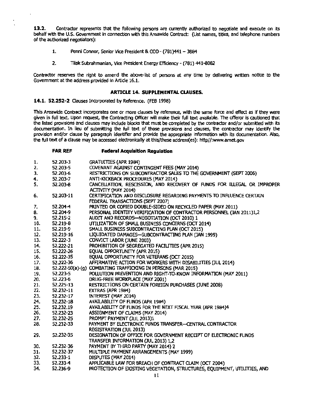**13.2.** Contractor represents that the following persons are currently authorized to negotiate and execute on its behalf with the U.S. Government in connection with this Areawide Contract: (List names, titles, and telephone numbers of the authorized negotiators):

- 1. Penni Connor, Senior Vice President & CCO (781)441- 3884
- 2. Tilak Subrahmanian, Vice President Energy Efficiency (781) 441-8082

Contractor reserves the right to amend the above-list of persons at any time by delivering written notice to the Government at the address provided in Article 16.1.

#### **ARTIClE 14. SUPPLEMENTAL CLAUSES.**

**14.1. 52.252-2** Clauses Incorporated by Reference. (FEB 1998)

This Areawide Contract incorporates one or more clauses by reference, with the same force and effect as if they were given in full text. Upon request, the Contracting Officer will make their full text available. The offeror is cautioned that the listed provisions and clauses may Include blocks that must be completed by the contractor and/or submitted with its documentation. In lieu of submitting the full text of those provisions and dauses, the contractor may identify the provision and/or clause by paragraph identifier and provide the appropriate information with its documentation. Also, the full text of a clause may be accessed electronically at this/these address( es): http//:www.amet.gov

**FAR REF Federal Acquisition Regulation** 

| 1.  | 52.203-3  | <b>GRATUITIES (APR 1984)</b>                                             |
|-----|-----------|--------------------------------------------------------------------------|
| 2.  | 52.203-5  | COVENANT AGAINST CONTINGENT FEES (MAY 2014)                              |
| 3.  | 52.203-6  | RESTRICTIONS ON SUBCONTRACTOR SALES TO THE GOVERNMENT (SEPT 2006)        |
| 4.  | 52.203-7  | ANTI-KICKBACK PROCEDURES (MAY 2014)                                      |
| 5.  | 52.203-8  | CANCELLATION, RESCISSION, AND RECOVERY OF FUNDS FOR ILLEGAL OR IMPROPER  |
|     |           | ACTIVITY (MAY 2014)                                                      |
| 6.  | 52.203-11 | CERTIFICATION AND DISCLOSURE REGARDING PAYMENTS TO INFLUENCE CERTAIN     |
|     |           | FEDERAL TRANSACTIONS (SEPT 2007)                                         |
| 7.  | 52.204-4  | PRINTED OR COPIED DOUBLE-SIDED ON RECYCLED PAPER (MAY 2011)              |
| 8.  | 52.204-9  | PERSONAL IDENTITY VERIFICATION OF CONTRACTOR PERSONNEL (JAN 2011)1,2     |
| 9.  | 52.215-2  | AUDIT AND RECORDS-NEGOTIATION (OCT 2010) 1                               |
| 10. | 52.219-8  | UTILIZATION OF SMALL BUSINESS CONCERNS (OCT 2014)                        |
| 11. | 52.219-9  | SMALL BUSINESS SUBCONTRACTING PLAN (OCT 2015)                            |
| 12. | 52.219-16 | LIQUIDATED DAMAGES-SUBCONTRACTING PLAN (JAN 1999)                        |
| 13. | 52.222-3  | CONVICT LABOR (JUNE 2003)                                                |
| 14. | 52.222-21 | PROHIBITION OF SEGREGATED FACILITIES (APR 2015)                          |
| 15. | 52.222-26 | EQUAL OPPORTUNITY (APR 2015)                                             |
| 16. | 52.222-35 | EQUAL OPPORTUNITY FOR VETERANS (OCT 2015)                                |
| 17. | 52.222-36 | AFFIRMATIVE ACTION FOR WORKERS WITH DISABILITIES (JUL 2014)              |
| 18. |           | 52.222-50(a)-(g) COMBATING TRAFFICKING IN PERSONS (MAR 2015)             |
| 19. | 52.223-5  | POLLUTION PREVENTION AND RIGHT-TO-KNOW INFORMATION (MAY 2011)            |
| 20. | 52.223-6  | DRUG-FREE WORKPLACE (MAY 2001)                                           |
| 21. | 52.225-13 | RESTRICTIONS ON CERTAIN FOREIGN PURCHASES (JUNE 2008)                    |
| 22. | 52.232-11 | <b>EXTRAS (APR 1984)</b>                                                 |
| 23. | 52.232-17 | INTEREST (MAY 2014)                                                      |
| 24. | 52.232-18 | AVAILABILITY OF FUNDS (APR 1984)                                         |
| 25. | 52.232.19 | AVAILABILITY OF FUNDS FOR THE NEXT FISCAL YEAR (APR 1984)4               |
| 26. | 52.232-23 | ASSIGNMENT OF CLAIMS (MAY 2014)                                          |
| 27. | 52.232-25 | PROMPT PAYMENT (JUL 2013)1                                               |
| 28. | 52.232-33 | PAYMENT BY ELECTRONIC FUNDS TRANSFER-CENTRAL CONTRACTOR                  |
|     |           | REGISTRATION (JUL 2013)                                                  |
| 29. | 52.232-35 | DESIGNATION OF OFFICE FOR GOVERNMENT RECEIPT OF ELECTRONIC FUNDS         |
|     |           | TRANSFER INFORMATION (JUL 2013) 1,2                                      |
| 30. | 52.232-36 | PAYMENT BY THIRD PARTY (MAY 2014) 2                                      |
| 31. | 52.232-37 | MULTIPLE PAYMENT ARRANGEMENTS (MAY 1999)                                 |
| 32. | 52.233-1  | DISPUTES (MAY 2014)                                                      |
| 33. | 52.233-4  | APPLICABLE LAW FOR BREACH OF CONTRACT CLAIM (OCT 2004)                   |
| 34. | 52.236-9  | PROTECTION OF EXISTING VEGETATION, STRUCTURES, EQUIPMENT, UTILITIES, AND |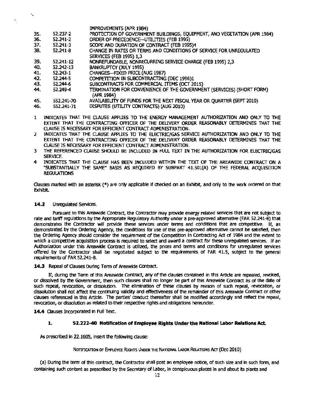|     |          | <b>IF IT INDITED THAT DO THAT IT IS A 20 TH</b>                          |
|-----|----------|--------------------------------------------------------------------------|
| 35. | 52.237-2 | PROTECTION OF GOVERNMENT BUILDINGS, EQUIPMENT, AND VEGETATION (APR 1984) |
|     |          |                                                                          |

- 36. 52.241-2 ORDER OF PRECEDENCE--UTILITIES (FEB 1995)<br>37. 52.241-3 SCOPE AND DURATION OF CONTRACT (FEB 1999
- 37. 52.241-3 SCOPE AND DURATION OF CONTRACT (FEB 1995)4<br>38. 52.241-8 CHANGE IN RATES OR TERMS AND CONDITIONS OF

IMPROVEMENTS (APR 1984)

- CHANGE IN RATES OR TERMS AND CONDITIONS OF SERVICE FOR UNREGULATED SERVICES (FEB 1995) 1,3
- 39. 52.241-12 **NONREFUNDABLE, NONRECURRING SERVICE CHARGE (FEB 1995) 2,3**<br>40. 52.242-13 BANKRUPTCY (JULY 1995)
- 40. 52.242-13 BANKRUPTCY (JULY 1995)<br>41. 52.243-1 CHANGES—FIXED PRICE (A

٠.

- 41. 52.243-1 CHANGES-FIXED PRICE (AUG 1987)<br>42. 52.244-5 COMPETITION IN SUBCONTRACTING
- 42. 52.244-5 COMPETITION IN SUBCONTRACTING (DEC 1996)1
- 43. 52.244-6 SUBCONTRACTS FOR COMMERCIAL ITEMS (OCT 2015)<br>44. 52.249-4 TERMINATION FOR CONVENIENCE OF THE GOVERNME
- TERMINATION FOR CONVENIENCE OF THE GOVERNMENT (SERVICES) (SHORT FORM) (APR 1984)
- 45. 552.241-70 AVAILABILITY OF FUNDS FOR THE NEXT FISCAL YEAR OR QUARTER (SEPT 2010)<br>46. 552.241-71 DISPUTES (UTILITY CONTRACTS) (AUG 2010)
- DISPUTES (UTILITY CONTRACTS) (AUG 2010)
- 1 INDICATES THAT THE CLAUSE APPLIES TO THE ENERGY MANAGEMENT AUTHORIZATION AND ONLY TO THE EXTENT THAT THE CONTRACTING OFFICER OF THE DELIVERY ORDER REASONABLY DETERMINES THAT THE CLAUSE IS NECESSARY FOR EFFICIENT CONTRACT ADMINISTRATION.
- 2 INDICATES THAT THE CLAUSE APPLIES TO THE ELECTRIC/GAS SERVICE AUTHORIZATION AND ONLY TO THE EXTENT THAT THE CONTRACTING OFFICER OF THE DELIVERY ORDER REASONABLY DETERMINES THAT THE CLAUSE IS NECESSARY FOR EFFICIENT CONTRACT ADMINISTRATION.
- 3 THE REFERENCED CLAUSE SHOULD BE INCLUDED IN FULL TEXT IN THE AUTHORIZATION FOR ELECTRIC/GAS SERVICE.
- 4 INDICATES THAT THE CLAUSE HAS BEEN INCLUDED WITHIN THE TEXT OF THE AREAWIDE CONTRACT ON A "SUBSTANTIALLY THE SAME" BASIS AS REQUIRED BY SUBPART 41.501(A) OF THE FEDERAL ACQUISITTON REGULATIONS

Oauses marked with an asterisk (\*) are only applicable if checked on an Exhibit, and only to the work ordered on that Exhibit.

### **14.2** Unregulated Services.

Pursuant to this Areawide Contract, the Contractor may provide energy related services that are not subject to rate and tariff regulations by the Appropriate Regulatory Authority under a pre-approved alternative (FAR 52.241-8) that demonstrates the Contractor will provide these services under terms and conditions that are competitive. If, as demonstrated by the Ordering Agency, the conditions for use of this pre-approved alternative cannot be satisfied, then the Ordering Agency should consider the requirement of the Competition In Contracting Act of 1984 and the extent to which a competitive acquisition process is required to select and award a contract for these unrequlated services. If an Authorization under this Areawide Contract is utilized, the prices and terms and conditions for unregulated services offered by the Contractor shall be negotiated subject to the requirements of FAR 41.5, subject to the general requirements of FAR 52.241-8.

14.3 Repeal of Clauses During Term of Areawide Contract.

If, during the Term of this Areawide Contract, any of the clauses contained in this Artide are repealed, revoked, or dissolved by the Government, then such clauses shall no longer be part of this Areawide Contract as of the date of such repeal, revocation, or dissolution. The elimination of these clauses by reason of such repeal, revocation, or dissolution shall not affect the continuing validity and effectiveness of the remainder of this Areawide Contract or other clauses referenced in this Article. The parties' conduct thereafter shall be modified accordingly and reflect the repeal, revocation, or dissolution as related to their respective rights and obligations hereunder.

14.4 Clauses Incorporated in Full Text.

# **l. 52.222-40 Notification of Employee Rights Under the National Labor Relations Act.**

As prescribed in 22.1605, insert the following clause:

# NOTIFICATION OF EMPLOYEE RIGHTS UNDER THE NATIONAL LABOR RELATIONS ACT (DEC 2010)

(a) During the term of this contract, the Contractor shall post an employee notice, of such size and in such form, and containing such content as prescribed by the Secretary of Labor, in conspicuous places in and about its plants and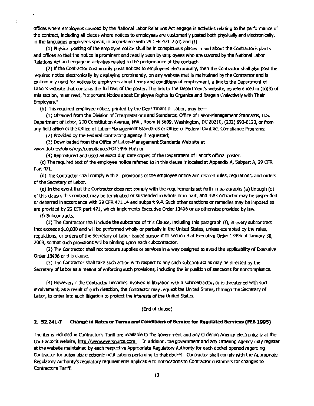offices where employees covered by the National Labor Relations Act engage in activities relating to the performance of the contract, including all places where notices to employees are customarily posted both physically and electronically, in the languages employees speak, in accordance with 29 CFR 471.2 (d) and (f).

(1) Physical posting of the employee notice shall be in conspicuous places in and about the Contractor's plants and offices so that the notice is prominent and readily seen by employees who are covered by the National Labor Relations Act and engage in activities related to the performance of the contract.

(2) If the Contractor customarily posts notices to employees electronically, then the Contractor shall also post the required notice electronically by displaying prominently, on any website that is maintained by the Contractor and Is customarily used for notices to employees about terms and conditions of employment, a link to the Department of Labor's website that contains the full text of the poster. The link to the Department's website, as referenced in (b)(3) of this section, must read, "Important Notice about Employee Rights to Organize and Bargain Collectively with Their Employers."

(b) This required employee notice, printed by the Department of Labor, may be-

(1) Obtained from the Division of Interpretations and Standards, Office of Labor-Management Standards, U.S. Department of Labor, 200 Constitution Avenue, NW., Room N-5609, Washington, DC 20210, (202) 693-0123, or from any field office of the Office of labor-Management Standards or Office of Federal Contract Compliance Programs;

(2) Provided by the Federal contracting agency if requested;

(3) Downloaded from the Office of Labor-Management Standards Web site at

www.dol.gov/olms/regs/compliance/E013496.htm; or

(4) Reproduced and used as exact duplicate copies of the Department of Labor's official poster.

(c) The required text of the employee notice referred to In this clause is located at Appendix A, Subpart A, 29 CFR Part 471.

(d) The Conbactor shall comply with all provisions of the employee notice and related rules, regulations, and orders of the Secretary of Labor.

(e) In the event that the Contractor does not comply with the requirements set forth In paragraphs (a) through (d) of this clause, this contract may be terminated or suspended In whole or in part, and the Contractor may be suspended or debarred in accordance with 29 CFR 471.14 and subpart 9.4. Such other sanctions or remedies may be imposed as are provided by 29 CFR part 471, which implements Executive Order 13496 or as otherwise provided by law.

(f) Subcontracts.

 $\cdot$ 

(1) The Contractor shall include the substance of this Clause, including this paragraph (f), in every subcontract that exceeds \$10,000 and will be performed wholly or partially in the United States, unless exempted by the rules, regulations, or orders of the Secretary of Labor issued pursuant to section 3 of Executive Order 13496 of January 30, 2009, so that such provisions will be binding upon each subcontractor.

(2) The Contractor shall not procure supplies or services in a way designed to avoid the applicability of Executive Order 13496 or this clause.

(3) The Contractor shall take such action with respect to any such subcontract as may be directed by the Secretary of Labor as a means of enforcing such provisions, including the imposition of sanctions for noncompliance.

(4) However, If the Contractor becomes involved in litigation with a subcontractor, or is threatened with such involvement, as a result of such direction, the Contractor may request the United States, through the Secretary of Labor, to enter into such litigation to protect the Interests of the United States.

(End of clause)

#### **2. 52.241·7 Change in Rates or Terms and Conditions of Service for Regulated Services (FEB 1995)**

The Items included In Contractor's Tariff are available to the government and any Ordering Agency electronically at the Contractor's website, http://www.eversource.com In addition, the government and any Ordering Agency may register at the website maintained by each respective Appropriate Regulatory Authority for each docket opened regarding Contractor for automatic electronic notifications pertaining to that docket. Contractor shall comply with the Appropriate Regulatory Authority's regulatory requirements applicable to notifications to Contractor customers for changes to Contractor's Tariff.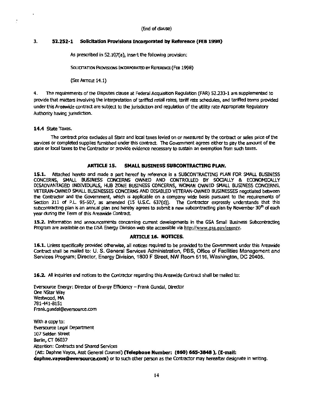# 3. 52.252-1 Solicitation Provisions Incorporated by Reference (FEB 1998)

As prescribed in 52.107(a), insert the following provision:

SOLICITATION PROVISIONS INCORPORATED BY REFERENCE (FEB 1998)

(SEE ARTICLE 14.1)

4. The requirements of the Disputes clause at Federal Acquisition Regulation (FAR) 52.233-1 are supplemented to provide that matters Involving the interpretation of tariffed retail rates, tariff rate schedules, and tariffed terms provided under this Areawide contract are subject to the jurisdiction and regulation of the utility rate Appropriate Regulatory Authority having jurisdiction.

#### 14.4 State Taxes.

 $\bullet$ 

The contract price excludes all State and local taxes levied on or measured by the contract or sales price of the services or completed supplies furnished under this contract. The Government agrees either to pay the amount of the state or local taxes to the Contractor or provide evidence necessary to sustain an exemption from such taxes.

#### ARTICLE 15. SMALL BUSINESS SUBCONTRACTING PLAN.

15.1. Attached hereto and made a part hereof by reference is a SUBCONTRACTING PLAN FOR SMALL BUSINESS CONCERNS, SMALL BUSINESS CONCERNS OWNED AND CONTROLLED BY SOCIALLY & ECONOMICALLY DISADVANTAGED INDIVIDUALS, HUB ZONE BUSINESS CONCERNS, WOMAN OWNED SMALL BUSINESS CONCERNS, VETERAN-OWNED SMALL BUSINESSES CONCERNS AND DISABLED VETERAN-OWNED BUSINESSES negotiated between the Contractor and the Government, which Is applicable on a company wide basis pursuant to the requirements of Section 211 of P.L. 95-507, as amended (15 U.S.C. 637(d)). The Contractor expressly understands that this subcontracting plan is an annual plan and hereby agrees to submit a new subcontracting plan by November 30<sup>th</sup> of each year during the Term of this Areawide Contract.

15.2. Information and announcements concerning current developments In the GSA Small Business Subcontracting Program are available on the GSA Energy Division web site accessible via http://www.gsa.gov/enerar..

# ARTICLE 16. NOTICES.

16.1. Unless specifically provided otherwise, all notices required to be provided to the Government under this Areawide contract shall be mailed to: U.S. General Services Administration, PBS, Office of Facilities Management and Services Program; Director, Energy Division, 1800 F Street. NW Room 5116, Washington, DC 20405.

16.2. All inquiries and notices to the contractor regarding this Areawide Contract shall be mailed to:

Eversource Energy: Director of Energy Efficiency - Frank Gundal, Director One NStar Way Westwood, MA 781-441-8151 Frank.gundal@eversource.com

With a copy to: Eversource Legal Department 107 Selden Street Berlin, CT 06037 Attention: Contracts and Shared Services (Att: Daphne Vayos, Asst General Counsel) (Telephone Number: (860) 665·3848 ), (E-mail: daphne.vayos@eversource.com) or to such other person as the Contractor may hereafter designate in writing.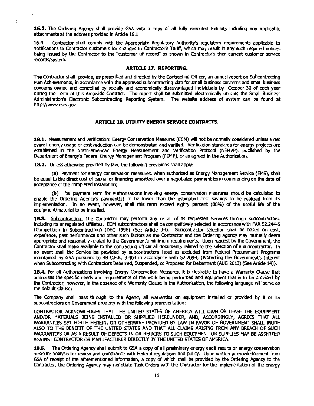**16.3. The** Ordering Agency shall provide GSA with a *copy* of al fully executed Exhibits including any applicable attachments at the address provided in Article 16.1.

16.4 Contractor shall comply with the Appropriate Regulatory Authority's regulatory requirements applicable to notifications to Contractor customers for changes to Contractor's Tariff, which may result in any such required notices being issued by the Contractor to the "customer of record" as shown in Contractor's then-current customer service records/system.

#### **ARTICLE 17. REPORTING.**

The Contractor shall provide, as prescribed and directed by the Contracting Officer, an annual report on Subcontracting Plan Achievements, in accordance with the approved subcontracting plan for small business concerns and small business concerns owned and controlled by socially and economically disadvantaged individuals by October 30 of each year during the Term of this Areawide Contract. The report shall be submitted electronicaly utilizing the Small Business Administration's Electronic Subcontracting Reporting System. The website address of system can be found at http://www.esrs.gov.

#### **ARTICLE 18. UTILITY ENERGY SERVICE CONTRAC15.**

**18.1.** Measurement and verification: Energy Conservation Measures (ECM) will not be nonnally considered unless a net overall energy usage or cost reduction can be demonstrated and verified. Verification standards for energy projects are established in the North-American Energy Measurement and Verification Protocol (NEMVP), published by the Department of Energy's Federal Energy Management Program (FEMP), or as agreed in the Authorization.

**18.2.** Unless otherwise provided by law, the following provisions shall apply:

 $\overline{\phantom{a}}$ 

**(a)** Payment for energy conservation measures, when authorized as Energy Management Service (EMS), shall be equal to the direct cost of capital or financing amortized over a negotiated payment term commencing on the date of acceptance of the completed Installation;

**(b)** The payment term for Authorizations Involving energy conservation measures should be calculated to enable the Ordering Agency's payment(s) to be lower than the estimated cost savings to be realized from its implementation. In no event, however, shall this term exceed eighty percent (80%) of the useful life of the equipment/material to be installed.

18.3. Subcontracting: The Contractor may perform any or all of its requested Services through subcontractors. induding its unregulated affiliates. ECM subcontractors shall be competitively selected in accordance with FAR 52.244-5 (Competition in Subcontracting) (DEC 1996) (See Artide 14). Subcontractor selection shall be based on cost, experience, past performance and other such factors as the Contractor and the Ordering Agency may mutually deem appropriate and reasonably related to the Government's minimum requirements. Upon request by the Government, the Contractor shall make available to the contracting officer all documents related to the selection of a subcontractor. In no event shall the Service be provided by subcontractors listed as excluded from Federal Procurement Programs maintained by GSA pursuant to 48 C.F.R. 9.404 in accordance with 52.209-6 (Protecting the Government's Interest when Subcontracting with Contractors Debarred, Suspended, or Proposed for Debarment (AUG 2013) (See Article 14)).

**18.4.** For all Authorizations Involving Energy Conservation Measures, It Is desirable to have a Warranty Clause that addresses the specific needs and requirements of the work being performed and equipment that is to be provided by the Contractor; however, in the absence of a Warranty Oause In the Authorization, the following language will serve as the default Oause:

The Company shall pass through to the Agency all warranties on equipment installed or provided by it or its subcontractors on Government property with the following representation:

CONTRACTOR ACKNOWLEDGES THAT THE UNITED STATES OF AMERICA WILL OWN OR LEASE THE EQUIPMENT AND/OR MATERIALS BEING INSTALLED OR SUPPLIED HEREUNDER, AND, ACCORDINGLY, AGREES THAT AU WARRANTIES SET FORTH HEREIN, OR OTHERWISE PROVIDED BY LAW IN FAVOR OF GOVERNMENT SHALL INURE ALSO TO THE BENEFIT OF THE UNITED STATES AND THAT AU. CLAIMS ARISING FROM ANY BREACH OF SUCH WARRANTIES OR AS A RESULT OF DEFECTS IN OR REPAIRS TO SUCH EQUIPMENT OR SUPPLIES MAY BE ASSERTED AGAINST CONTRACTOR OR MANUFACTURER DIRECTLY BY THE UNITED STATES OF AMERICA.

**18.5.** The Ordering Agency shall submit to GSA a copy of all preliminary energy audit results or energy conservation measure analysis for review and compliance with Federal regulations and policy. Upon written acknowledgement from GSA of receipt of the aforementioned information, a copy of which shall be provided by the Ordering Agency to the Contractor, the Ordering Agency may negotiate Task Orders with the Contractor for the Implementation of the energy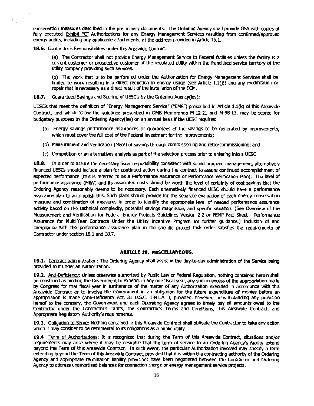conservation measures described In the preliminary documents. The Ordering Agency shall provide GSA with copies of fully executed Exhibit "C" Authorizations for any Energy Management Services resulting from confirmed/approved energy audits, including any applicable attachments, at the address provided in Article 16.1.

**18.6.** Contractor's Responsibilities under this Areawide Contract:

 $\ddot{\phantom{0}}$  .

(a) The Contractor shal not provide Energy Management Service to Federal facilities unless the facility is a current customer or prospective rustomer *d* the regulated utility within the franchised service territory of the utility company providing such services.

(b) The work that is to be performed under the Authorization for Energy Management Services shall be limited to work resulting in a direct reduction in energy usage (see Article 1.1(j)) and any modification or repair that is necessary as a direct result of the installation of the ECM.

**18.7.** Guaranteed Savings and Scoring of UESC's by the Ordering Agency(ies):

UESC's that meet the definition of "Energy Management Service" ("EMS") prescribed in Article 1.1(k) of this Areawide Contract, and which follow the guidance prescribed in OMB Memoranda M-12-21 and M-98-13, may be scored for budgetary purposes by the Ordering Agency(ies) on an annual basis if the UESC requires:

- (a) Energy savings performance assurances or guarantees of the savings to be generated by improvements, which must cover the full cost of the Federal investment for the improvements;
- (b) Measurement and verification (M&V) of savings through commissioning and retro-commissioning; and
- (c) Competition or an alternatives analysis as part of the selection process prior to entering into a UESC

**18.8.** In order to assure the necessary fiscal responsibility consistent with sound program management, alternatively financed UESCs should include a plan for continued action during the contract to assure continued accomplishment of expected performance (this is referred to as a Performance Assurance or Performance Verification Plan). The level of performance assurance (M&V) and its associated costs should be worth the level of certainty of cost savings that the Ordering Agency reasonably deems to be necessary. Each alternatively financed UESC should have a performance assurance plan to accomplish this. SUch plans should provide for the separate evaluation of each energy conservation measure and combination of measures in order to identify the appropriate level of needed performance assurance activity based on the technical complexity, potential savings magnitude, and specific situation. (See Overview of the Measurement and Verification for Federal Energy Projects Guidelines Version 2.2 or FEMP Fact Sheet - Performance Assurance for Multi-Year Contracts Under the Utility Incentive Program for further guidance.) Indusion of and compliance with the performance assurance plan in the specific project task order satisfies the requirements of Contractor under section 18.1 and 18.7.

# **ARTICLE 19. MISCELLANEOUS.**

**19.1.** Contract administration: The Ordering Agency shall assist In the day-to-day administration of the Service being provided to it under an Authorization.

**19.2.** Anti-Deficiency: Unless otherwise authorized by Public Law or Federal Regulation, nothing contained herein shall be construed as binding the Government to expend, In any one fiscal year, any sum in excess of the appropriation made by Congress for that fiscal year in furtherance of the matter of any Authorization executed in accordance with this Areawide Contract or to Involve the Government in an obligation for the future expenditure of monies before an appropriation is made (Anti-Deficiency Act, 31 U.S.C. 1341.A.1), provided, however, notwithstanding any provision hereof to the contrary, the Government and each Operating Agency agrees to timely pay all amounts owed to the Contractor under the Contractor's Tariffs, the Contractor's Terms and Conditions, this Areawide Contract, and Appropriate Regulatory Authority's requirements.

**19.3.** Obligation to Serve: Nothing contained in this Areawide Contract shall obligate the Contractor to take any action which it may consider to be detrimental to its obligations as a public utility.

**19.4** Term of Authorizations: It is recognized that during the Term of this Areawide Contract, situations and/or requirements may arise where it may be desirable that the term of service to an Ordering Agency's facility extend beyond the Term of this Areawide Contract. ln such event, the particular Authorization involved may specify a term extending beyond the Term of this Areawide Contract, provided that it is within the contracting authority of the Ordering Agency and appropriate termination liability provisions have been negotiated between the Contractor and Ordering Agency to address unamortized balances for connection charge or energy management service projects.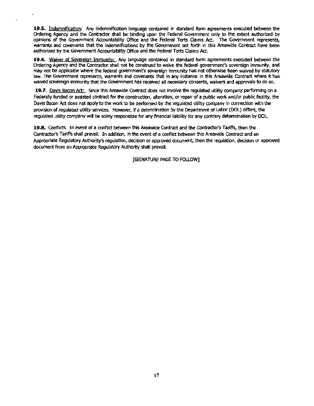**19.5.** Indemnification: Any indemnification language contained in standard form agreements exeruted between the Ordering Agency and the Contractor shall be binding upon the Federal Government only to the extent authorized by opinions of the Government Accountability Office and the Federal Torts Claims Act. The Government represents, warrants and covenants that the indemnifications by the Government set forth in this Areawide Contract have been authorized by the Government Accountability Office and the Federal Torts Claims Act.

**19.6.** Waiver of Sovereign Immunjtv: Any language contained in standard form agreements executed between the Ordering Agency and the Contractor shaff not be construed to waive the federal government's sovereign immunity, and may not be applicable where the federal government's sovereign immunity has not otherwise been waived by statutory law. The Government represents, warrants and covenants that in any instance in this Areawide Contract where it has waived sovereign immunity that the Government has received all necessary consents, waivers and approvals to do so.

**19.7.** Davis Bacon Act: Since this Areawide Contract does not involve the regulated utility company performing on a Federally funded or assisted contract for the construction, alteration, or repair of a public work and/or public facility, the Davis Bacon Act does not apply to the work to be performed by the regulated utility company in connection with the provision of regulated utility services. However, if a determination by the Department of Labor (DOL) differs, the regulated utility company will be solely responsible for any financial liability for any contrary determination by DOL.

**19.8.** Conflicts. In event of a conflict between this Areawide Contract and the Contractor's Tariffs, then the Contractor's Tariffs shall prevail. In addition, in the event of a conflict between this Areawide Contract and an Appropriate Regulatory Authority's regulation, decision or approved document, then the regulation, decision or approved document from an Appropriate Regulatory Authority shall prevail.

**ISIGNATURE PAGE TO FOLLOW1**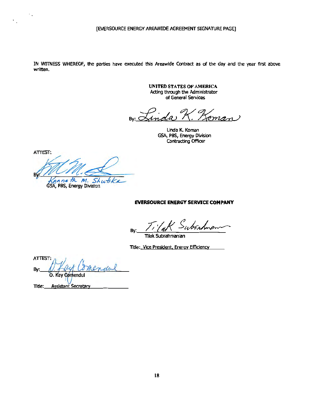IN WITNESS WHEREOF, the parties have executed this Areawide Contract as of the day and the year first above written.

> UNITED STATES OF AMERICA Acting through the Administrator of General Services

Joman)

Linda K. Koman GSA, PBS, Energy Division Contracting Officer

ATTEST: Kenneth M. Shutika

 $\mathcal{F}_{\mathbf{A}}$ 

 $\ddot{\phantom{0}}$  .

# **EVERSOURCE ENERGY SERVICE COMPANY**

woahnen By:

Tilak Subrahmanian

Title: Vice President, Energy Efficiency

Title: <u>Vice P</u><br>By: 0. Kay Complement 10

Title: Assistant Secretary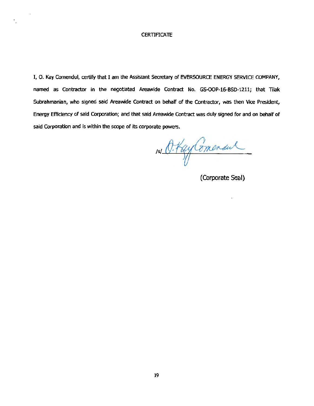# **CERTIFICATE**

I, O. Kay Comendul, certify that I am the Assistant Secretary of EVERSOURCE ENERGY SERVICE COMPANY, named as Contractor in the negotiated Areawide Contract No. GS-OOP-16-BSD-1211; that Tilak Subrahmanian, who signed said Areawide Contract on behalf of the Contractor, was then Vice President, Energy Efficiency of said Corporation; and that said Areawide Contract was duly signed for and on behalf of said Corporation and is within the scope of its corporate powers.

 $0.4$  ay Comenaut

(Corporate Seal)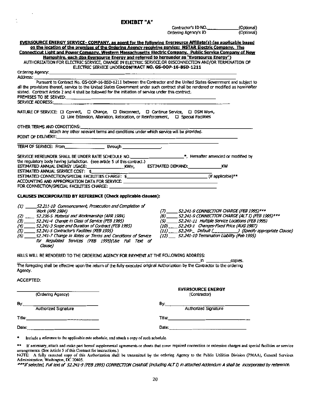#### **EXHIBIT "A"**

 $\ddot{\cdot}$ 

|                                                                                                                                                                                                                                                            | Contractor's ID NO.________________(Optional) |
|------------------------------------------------------------------------------------------------------------------------------------------------------------------------------------------------------------------------------------------------------------|-----------------------------------------------|
|                                                                                                                                                                                                                                                            | (Optional)<br>Ordering Agency's ID            |
| EVERSOURCE ENERGY SERVICE- COMPANY, as agent for the following Eversource Affiliate(s) (as applicable based                                                                                                                                                |                                               |
| on the location of the premises of the Ordering Agency receiving service: NSTAR Electric Company. The                                                                                                                                                      |                                               |
| Connecticut Light and Power Company. Western Massachusetts Electric Company. Public Service Company of New                                                                                                                                                 |                                               |
| Hampshire, each dba Eversource Energy and referred to hereunder as "Eversource Energy")                                                                                                                                                                    |                                               |
| AUTHORIZATION FOR ELECTRIC SERVICE, CHANGE IN ELECTRIC SERVICE, OR DISCONNECTION AND/OR TERMINATION OF<br>ELECTRIC SERVICE UNDERCONTRACT NO. GS-OOP-16-BSD-1211                                                                                            |                                               |
|                                                                                                                                                                                                                                                            |                                               |
| Address: _______                                                                                                                                                                                                                                           |                                               |
| Pursuant to Contract No. GS-OOP-16-BSD-1211 between the Contractor and the United States Government and subject to                                                                                                                                         |                                               |
| all the provisions thereof, service to the United States Government under such contract shall be rendered or modified as hereinafter<br>stated. Contract Article 2 and 4 shall be followed for the initiation of service under this contract.              |                                               |
|                                                                                                                                                                                                                                                            |                                               |
| SERVICE ADDRESS: SERVICE                                                                                                                                                                                                                                   |                                               |
|                                                                                                                                                                                                                                                            |                                               |
| NATURE OF SERVICE: 0 Connect, 0 Change, 0 Disconnect, 0 Continue Service, 0 DSM Work,                                                                                                                                                                      |                                               |
| □ Line Extension, Alteration, Relocation, or Reinforcement, □ Special Facilities                                                                                                                                                                           |                                               |
| OTHER TERMS AND CONDITIONS: CONDITIONS                                                                                                                                                                                                                     |                                               |
| Attach any other relevant terms and conditions under which service will be provided.                                                                                                                                                                       |                                               |
| POINT OF DELIVERY; POINT AND RESERVED AND RESERVED AND RESERVED AND RESERVED AND RESERVED AND RESERVED AND RESERVED AND RESERVED AND RESERVED AND RESERVED AND RESERVED AND RESERVED AND RESERVED AND RESERVED AND RESERVED AN                             |                                               |
|                                                                                                                                                                                                                                                            |                                               |
|                                                                                                                                                                                                                                                            |                                               |
| SERVICE HEREUNDER SHALL BE UNDER RATE SCHEDULE NO. __________________________*, Hereafter amended or modified by                                                                                                                                           |                                               |
| the regulatory body having jurisdiction. (see article 5 of this contract.)                                                                                                                                                                                 |                                               |
|                                                                                                                                                                                                                                                            |                                               |
|                                                                                                                                                                                                                                                            |                                               |
| ACCOUNTING AND APPROPRIATION DATA FOR SERVICE: __________________________________                                                                                                                                                                          |                                               |
|                                                                                                                                                                                                                                                            |                                               |
|                                                                                                                                                                                                                                                            |                                               |
| CLAUSES INCORPORATED BY REFERENCE (Check applicable clauses):                                                                                                                                                                                              |                                               |
|                                                                                                                                                                                                                                                            |                                               |
| (1) _____52.211-10 Commencement, Prosecution and Completion of<br>Work (APR 1984)                                                                                                                                                                          | (7) 52.241-9 CONNECTION CHARGE (FEB 1995)***  |
|                                                                                                                                                                                                                                                            |                                               |
|                                                                                                                                                                                                                                                            |                                               |
|                                                                                                                                                                                                                                                            |                                               |
|                                                                                                                                                                                                                                                            |                                               |
|                                                                                                                                                                                                                                                            |                                               |
|                                                                                                                                                                                                                                                            |                                               |
| for Regulated Services (FEB 1995)(Use Full Text of                                                                                                                                                                                                         |                                               |
| (6) 52.241-7 Change in Rates or Terms and Conditions of Service (12) 52.241-10 Termination Liability (Feb 1995)<br>Clause)                                                                                                                                 |                                               |
|                                                                                                                                                                                                                                                            |                                               |
| BILLS WILL BE RENDERED TO THE ORDERING AGENCY FOR PAYMENT AT THE FOLLOWING ADDRESS:                                                                                                                                                                        | copies.<br>in.                                |
|                                                                                                                                                                                                                                                            |                                               |
|                                                                                                                                                                                                                                                            |                                               |
|                                                                                                                                                                                                                                                            |                                               |
|                                                                                                                                                                                                                                                            |                                               |
|                                                                                                                                                                                                                                                            | <b>EVERSOURCE ENERGY</b>                      |
| (Ordering Agency)                                                                                                                                                                                                                                          | (Contractor)                                  |
|                                                                                                                                                                                                                                                            |                                               |
| <b>Authorized Signature</b>                                                                                                                                                                                                                                | Authorized Signature<br>By:__                 |
|                                                                                                                                                                                                                                                            |                                               |
|                                                                                                                                                                                                                                                            |                                               |
|                                                                                                                                                                                                                                                            |                                               |
| The foregoing shall be effective upon the return of the fully executed original Authorization by the Contractor to the ordering<br>Agency.<br>ACCEPTED:<br>By:<br>Include a reference to the applicable rate schedule, and attach a copy of such schedule. |                                               |

arrangements. (See Article 5 of this Contract for instructions.)<br>NOTE: A fully executed copy of this Authorization shall be transmitted by the ordering Agency to the Public Utilities Division (PMAA), General Services Admin

|  |  | ***If selected, Full text of 52.241-9 (FEB 1995) CONNECTION CHARGE (including ALT I) in attached Addendum A shall be incorporated by reference. |  |
|--|--|-------------------------------------------------------------------------------------------------------------------------------------------------|--|
|--|--|-------------------------------------------------------------------------------------------------------------------------------------------------|--|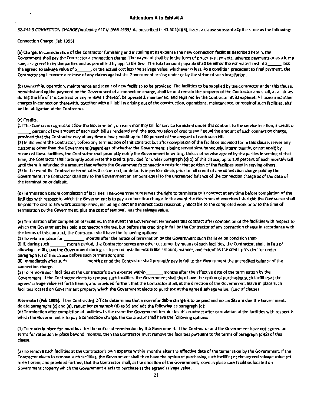#### Addendum A to Exhibit A

52.241-9 CONNECTION CHARGE (Including ALT I} (FEB 1995) As prescribed In 41.501(d)(3}, insert a clause substantially the same as the following:

#### Connection Charge (Feb 1995)

(a} Charge. In consideration of the Contractor furnishing and installing at its expense the newconnection facilities described herein, the Government shall pay the Contractor a connection charge. The payment shall be in the form of progress payments, advance payments or as a lump<br>sum, as agreed to by the parties and as permitted by applicable law. The total a the agreed to salvage value of\$\_\_\_\_\_,, or the actual cost less the salvage value, whichever is less. As a condition precedent to final payment, the Contractor shall execute a release of any claims against the Government arising under or by the virtue of such installation.

(b) Ownership, operation, maintenance and repair of new facilities to be provided. The facilities to be supplied by the Contractor under this clause, notwithstanding the payment by the Government of a connection charge, shall be and remain the property of the Contractor and shall, at all times during the life of this contract or any renewals thereof, be operated, maintained, and repaired by the Contractor at Its expense. All taxes and other charges In connection therewith, together with all llabillty arising out of the construction, operations, maintenance, or repair of such facilities, shall be the obligation of the Contractor.

#### (c} Credits.

(1) The Contractor agrees to allow the Government, on each monthly bill for service furnished under this contract to the service location, a credit of percent of the amount of each such bill as rendered until the accumulation of credits shall equal the amount of such connection charge, provided that the Contractor may at any time allow a credit up to 100 percent of the amount of each such blll.

(2) In the event the Contractor, before any termination of this contract but after completion of the facilities provided for In this clause, serves any customer other than the Government (regardless of whether the Government is being served simultaneously, Intermittently, or not at all) by means of these facflltles, the Contractor shall promptly notify the Government in writing. Unless otherwise agreed by the parties in writing at that time, the Contractor shall promptly accelerate the credits provided for under paragraph (c)(1) of this clause, up to 100 percent of each monthly bill until there Is refunded the amount that reflects the Government's connection costs for that portion of the facilities used In serving others. (3) In the event the Contractor terminates this contract, or defaults In performance, prior to full credit of any connection charge paid by the Government, the Contractor shall pay to the Government an amount equal to the uncredited balance of the connection charge as ofthe date of the termination or default.

(d} Termination before completion of facllltles. The Government reserves the right to terminate this contract at any time before completion of the facilities with respect to which the Government is to pay a connection charge. In the event the Government exercises this right, the Contractor shall be paid the cost of any work accomplished, including direct and indlrect costs reasonably allocable to the completed work prior to the time of termination by the Government, plus the cost of removal, less the salvage value.

(e) Termination after completion of facilities. In the event the Government terminates this contract after completion of the facllltles with respect to which the Government has paid a connection charge, but before the crediting in full by the Contractor of any connection charge in accordance with the terms of this contract, the Contractor shall have the following options:

(1) To retain in place for months after the notice of termination by the Government such facilities on condition that-

(1} If, during such month period, the Contractor serves any other customer by means of such facilities, the Contractor, shall, in lieu of allowing credits, pay the Government during such period installments in like amount, manner, and extent as the credit provided for under paragraph (c) of this clause before such termination; and

(ii) Immediately after such month period the Contractor shall promptly pay in full to the Government the uncredited balance of the connection charge.

(2) To remove such facilities at the Contractor's own expense within months after the effective date of the termination by the Government. If the Contractor elects to remove such facilities, the Government shall then have the option of purchasing such facilities at the agreed salvage value set forth herein; and provided further, that the Contractor shall, at the direction of the Government, leave in place such facilities located on Government property which the Government elects to purchase at the agreed salvage value. (End of clause}

Alternate I (Feb 1995). If the Contracting Officer determines that a nonrefundable charge is to be paid and no credits are due the Government, delete paragraphs (c) and (e}, renumber paragraph (d} as (c) and add the following as paragraph (d}: (d) Termination after completion of facilities. In the event the Government terminates this contract after completion of the facilities with respect to which the Government is to pay a connection charge, the Contractor shall have the following options:

(1) To retain in place for months after the notlce of termination by the Government. If the Contractor and the Government have not agreed on terms for retention In place beyond months, then the Contractor must remove the facilities pursuant to the terms of paragraph (d}(2) of this clause.

(2) To remove such facilities at the Contractor's own expense within months after the effective date of the termination by the Government. If the Contractor elects to remove such facilities, the Government shall then have the option of purchasing such facilities at the agreed salvage value set forth herein; and provided further, that the Contractor shall, at the direction of the Government, leave in place such facilities located on Government property which the Government elects to purchase at the agreed salvage value.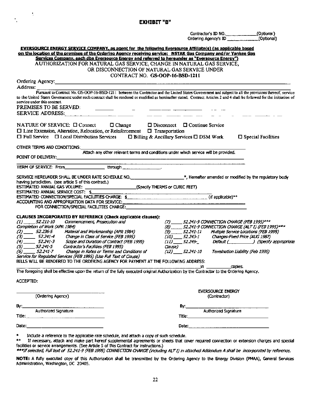# **EXHIBIT "B"**

Contractor's ID NO.

 $(0$ ptiona! $)$ 

 $\ddot{\phantom{a}}$ 

 $\ddot{\phantom{0}}$ 

|                                                                                                                                                                                                                                | Ordering Agency's ID _______________(Optional)                                                                                                         |
|--------------------------------------------------------------------------------------------------------------------------------------------------------------------------------------------------------------------------------|--------------------------------------------------------------------------------------------------------------------------------------------------------|
| <b>EVERSOURCE ENERGY SERVICE COMPANY, as agent for the following Eversource Affiliate(s) (as applicable based</b>                                                                                                              |                                                                                                                                                        |
| on the location of the premises of the Ordering Agency receiving service: NSTAR Gas Company and/or Yankee Gas<br>Services Company, each dba Eversource Energy and referred to hereunder as "Eversource Energy")                |                                                                                                                                                        |
| AUTHORIZATION FOR NATURAL GAS SERVICE, CHANGE IN NATURAL GAS SERVICE,                                                                                                                                                          |                                                                                                                                                        |
| OR DISCONNECTION OF NATURAL GAS SERVICE UNDER                                                                                                                                                                                  |                                                                                                                                                        |
| CONTRACT NO. GS-OOP-16-BSD-1211                                                                                                                                                                                                |                                                                                                                                                        |
|                                                                                                                                                                                                                                |                                                                                                                                                        |
| Address:                                                                                                                                                                                                                       | Pursuant to Contract No. GS-OOP-16-BSD-1211 between the Contractor and the United States Government and subject to all the provisions thereof, service |
| to the United States Government under such contract shall be rendered or modified as hereinafter stated. Contract Articles 2 and 4 shall be followed for the initiation of                                                     |                                                                                                                                                        |
| service under this contract.                                                                                                                                                                                                   |                                                                                                                                                        |
| PREMISES TO BE SERVED:                                                                                                                                                                                                         |                                                                                                                                                        |
|                                                                                                                                                                                                                                | $\frac{1}{2} \left( \frac{1}{2} \right) \left( \frac{1}{2} \right) \left( \frac{1}{2} \right)$                                                         |
| <b>NATURE OF SERVICE:</b> $\Box$ Connect $\Box$ Change $\Box$ Disconnect $\Box$ Continue Service                                                                                                                               |                                                                                                                                                        |
| $\Box$ Line Extension, Alteration, Relocation, or Reinforcement $\Box$ Transportation                                                                                                                                          |                                                                                                                                                        |
| $\Box$ Full Service $\Box$ Local Distribution Services $\Box$ Billing & Ancillary Services $\Box$ DSM Work                                                                                                                     | $\square$ Special Facilities                                                                                                                           |
|                                                                                                                                                                                                                                |                                                                                                                                                        |
| OTHER TERMS AND CONDITIONS:                                                                                                                                                                                                    |                                                                                                                                                        |
| POINT OF DELIVERY: NAMEL AND TO POINT OF DELIVERY:                                                                                                                                                                             | Attach any other relevant terms and conditions under which service will be provided.                                                                   |
| <u> 1989 - Johann Harry Harry Harry Harry Harry Harry Harry Harry Harry Harry Harry Harry Harry Harry Harry Harry</u>                                                                                                          |                                                                                                                                                        |
| TERM OF SERVICE: From through through the state of the state of the state of the state of the state of the state of the state of the state of the state of the state of the state of the state of the state of the state of th |                                                                                                                                                        |
|                                                                                                                                                                                                                                |                                                                                                                                                        |
| having jurisdiction. (see article 5 of this contract.)                                                                                                                                                                         |                                                                                                                                                        |
| ESTIMATED ANNUAL GAS VOLUME: (Specify THERMS or CUBIC FEET)<br>ESTIMATED ANNUAL SERVICE COST: \$                                                                                                                               |                                                                                                                                                        |
|                                                                                                                                                                                                                                |                                                                                                                                                        |
|                                                                                                                                                                                                                                |                                                                                                                                                        |
| FOR CONNECTION/SPECIAL FACILITIES CHARGE:                                                                                                                                                                                      |                                                                                                                                                        |
|                                                                                                                                                                                                                                |                                                                                                                                                        |
| CLAUSES INCORPORATED BY REFERENCE (Check applicable clauses):                                                                                                                                                                  |                                                                                                                                                        |
| $(1)$ 52.211-10<br>Commencement, Prosecution and<br>Completion of Work (APR 1984)                                                                                                                                              | (7) 52.241-9 CONNECTION CHARGE (FEB 1995)***<br>(8) 52.241-9 CONNECTION CHARGE (ALT I) (FEB 1995)***                                                   |
|                                                                                                                                                                                                                                |                                                                                                                                                        |
| (2) _____ 52.236-5 Material and Workmanship (APR 1984)<br>(3) _____ 52.241-4 Change in Class of Service (FEB 1995)                                                                                                             | (9) 52.241-11 Multiple Service Locations (FEB 1995)<br>(10) 52.243-1 Changes-Fixed Price (AUG 1987)                                                    |
| $(4)$ 52.241-3 Scope and Duration of Contract (FEB 1995)<br>$(5)$ 52.241-5 Contractor's Facilities (FEB 1995)                                                                                                                  | (11) 52.249 Default ( Specify appropriate                                                                                                              |
|                                                                                                                                                                                                                                | Clause) <b>cardidates</b>                                                                                                                              |
| (6) 52.241-7 Change in Rates or Terms and Conditions of                                                                                                                                                                        | (12) 52.241-10 Termination Liability (Feb 1995)                                                                                                        |
| Service for Regulated Services (FEB 1995) (Use Full Text of Clause)<br>BILLS WILL BE RENDERED TO THE ORDERING AGENCY FOR PAYMENT AT THE FOLLOWING ADDRESS:                                                                     |                                                                                                                                                        |
|                                                                                                                                                                                                                                | copies.<br>m                                                                                                                                           |
| The foregoing shall be effective upon the return of the fully executed original Authorization by the Contractor to the Ordering Agency.                                                                                        |                                                                                                                                                        |
| ACCEPTED:                                                                                                                                                                                                                      |                                                                                                                                                        |
|                                                                                                                                                                                                                                |                                                                                                                                                        |
|                                                                                                                                                                                                                                | <b>EVERSOURCE ENERGY</b>                                                                                                                               |
| (Ordering Agency)                                                                                                                                                                                                              | (Contractor)                                                                                                                                           |
| Authorized Signature<br>$B_{V}$ :                                                                                                                                                                                              | Bγ:______                                                                                                                                              |
|                                                                                                                                                                                                                                | Authorized Signature                                                                                                                                   |
|                                                                                                                                                                                                                                |                                                                                                                                                        |
| Date: the contract of the contract of the contract of the contract of the contract of the contract of the contract of the contract of the contract of the contract of the contract of the contract of the contract of the cont |                                                                                                                                                        |
|                                                                                                                                                                                                                                |                                                                                                                                                        |
| *<br>Include a reference to the applicable rate schedule, and attach a copy of such schedule.                                                                                                                                  |                                                                                                                                                        |

 $\star\star$ If necessary, attach and make part hereof supplemental agreements or sheets that cover required connection or extension charges and special facilities or service arrangements. (See Article 5 of this Contract for instructions.)

\*\*\*If selected, Full text of 52.241-9 (FEB 1995) CONNECTION CHARGE (including ALT I) in attached Addendum A shall be incorporated by reference.

NOTE: A fully executed copy of this Authorization shall be transmitted by the Ordering Agency to the Energy Division (PMAA), General Services Administration, Washington, DC 20405.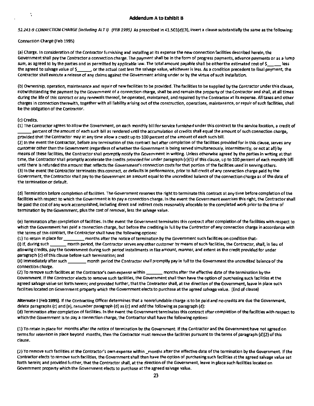#### Addendum A to Exhibit B

52.241-9 CONNECTION CHARGE (including ALT I} (FEB 1995) As prescribed In 41.501(d)(3), insert a clause substantially the same as the following:

#### Connection Charge (Feb 1995)

۰.

(a) Charge. In consideration of the Contractor furnishing and installing at its expense the new connection facilities described herein, the Government shall pay the Contractor a connection charge. The payment shall be in the form of progress payments, advance payments or as a lump<br>sum, as agreed to by the parties and as permitted by applicable law. The total a the agreed to salvage value of \$ corthe actual cost less the salvage value, whichever is less. As a condition precedent to final payment, the Contractor shall execute a release of any claims against the Government arising under or by the virtue of such installation.

(b) Ownership, operation, maintenance and repair of new facilities to be provided. The facilities to be supplied by the Contractor under this clause, notwithstanding the payment by the Governmentof a connection charge, shall be and remain the property of the Contractor and shall, at all times during the life ofthis contract or any renewals thereof, be operated, maintained, and repaired by the Contractor at its expense. All taxes and other charges In connection therewith, together with all liability arising out ofthe construction, operations, maintenance, or repair of such facllities, shall be the obligation of the Contractor.

#### (c) Credits.

(1) The Contractor agrees to allow the Government, on each monthly bill for service furnished under this contract *to* the service location, a credit of percent of the amount of each such bill as rendered until the accumulation of credits shall equal the amount of such connection charge, provided that the Contractor may at any time allow a credit up to 100 percent of the amountof each such bill.

(2) In the event the Contractor, before any termination of this contract but after completion of the facilities provided for in this clause, serves any customer other than the Government (regardless of whether the Government is being served simultaneously, Intermittently, or not at all) by means of these facilities, the Contractor shall promptly notify the Government in writing. Unless otherwise agreed by the parties in writing at that time, the Contractor shall promptly accelerate the credits provided for under paragraph (c)(1) of this clause, up to 100 percent of each monthly bill until there Is refunded the amount that reflects the Government's connection costs for that portion of the facilities used In serving others. (3) In the event the Contractor terminates this contract, or defaults In performance, prior to full credit of any connection charge paid by the Government, the Contractor shall pay to the Government an amount equal to the uncredited ba lance of the connection charge as of the date of the termination or default.

(d) Termination before completion of facilities. The Government reserves the right to terminate this contract at any time before completion of the facilities with respect to which the Government is to pay a connection charge. In the event the Government exercises this right, the Contractor shall be paid the cost of any work accomplished, including direct and indirect costs reasonably allocable to the completed work prior to the time of termination by the Government, plus the cost of removal, less the salvage value.

(e) Termination after completion of facilities. In the event the Government terminates this contract after completion of the facilities with respect to which the Government has paid a connection charge, but before the crediting in full by the Contractor of any connection charge in accordance with

the terms of this contract, the Contractor shall have the following options:<br>(1) To retain in place for \_\_\_\_\_\_\_\_\_ months after the notice of termination (1) months after the notice of termination by the Government such facilities on condition that-(i) If, during such month period, the Contractor serves any other customer by means of such facilities, the Contractor, shall, in lieu of allowing credits, pay the Government during such period installments in like amount, manner, and extent as the credit provided for under paragraph (c) of this clause before such termination; and

(ii) Immediately after such month period the Contractor shall promptly pay In full to the Government the uncredited balance of the connection charge.

(2) To remove such facilities at the Contractor's own expense within months after the effective date of the termination by the Government. If the Contractor elects to remove such facilities, the Government shall then have the option of purchasing such facilities at the agreed salvage value set forth herein; and provided further, that the Contractor shall, at the direction of the Government, leave in place such facilities located on Government property which the Government elects to purchase at the agreed salvage value. (End of clause)

Alternate I (Feb 1995). If the Contracting Officer determines that a nonrefundable charge is to be paid and no credits are due the Government, delete paragraphs (c) and (e), renumber paragraph (d) as (c) and add the following as paragraph (d): (d) Termination after completion of facilities. In the event the Government terminates this contract after completion of the facilities with respect to which the Government Is to pay a connection charge, the Contractor shall have the following options:

(1)To retain in place for months afterthe notice oftermination by the Government. Ifthe Contractor and the Government have not agreed on terms for retention in place beyond months, then the Contractor must remove the facilities pursuant to the terms of paragraph (d)(2) ofthis clause.

(2) To remove such facilities at the Contractor's own expense within \_months after the effective date of the termination by the Government. If the Contractor elects to remove such facilities, the Government shall then have the option of purchasing such facilities at the agreed salvage value set forth herein; and provided further, that the Contractor shall, at the direction of the Government, leave in place such facilities located on Government property which the Government elects to purchase at the agreed salvage value.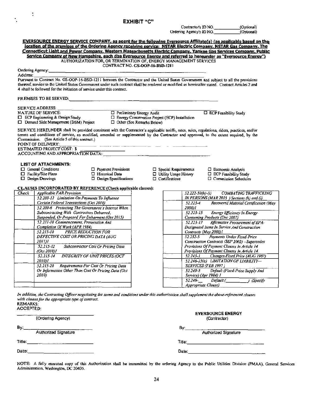## **EXHIBIT "C"**

| Contractor's ID NO.      | (Optional) |
|--------------------------|------------|
| Ordering Agency's ID NO. | (Optional) |

|                                                                                                                                                                                                           | EVERSOURCE ENERGY SERVICE COMPANY, as agent for the following Eversource Affiliate(s) (as applicable based on the<br>location of the premises of the Ordering Agency receiving service: NSTAR Electric Company, NSTAR Gas Company, The<br>Connecticut Light and Power Company, Western Massachusetts Electric Company, Yankee Gas Services Company, Public<br>Service Company of New Hampshire, each dba Eversource Energy and referred to hereunder as "Eversource Energy")<br>AUTHORIZATION FOR, OR TERMINATION OF, ENERGY MANAGEMENT SERVICES<br>CONTRACT NO. GS-OOP-16-BSD-1211 |
|-----------------------------------------------------------------------------------------------------------------------------------------------------------------------------------------------------------|-------------------------------------------------------------------------------------------------------------------------------------------------------------------------------------------------------------------------------------------------------------------------------------------------------------------------------------------------------------------------------------------------------------------------------------------------------------------------------------------------------------------------------------------------------------------------------------|
|                                                                                                                                                                                                           |                                                                                                                                                                                                                                                                                                                                                                                                                                                                                                                                                                                     |
| Address:                                                                                                                                                                                                  |                                                                                                                                                                                                                                                                                                                                                                                                                                                                                                                                                                                     |
| 4 shall be followed for the initiation of service under this contract.                                                                                                                                    | Pursuant to Contract No. GS-OOP-16-BSD-1211 between the Contractor and the United States Government and subject to all the provisions<br>thereof, service to the United States Government under such contract shall be rendered or modified as hereinafter stated. Contract Articles 2 and                                                                                                                                                                                                                                                                                          |
|                                                                                                                                                                                                           |                                                                                                                                                                                                                                                                                                                                                                                                                                                                                                                                                                                     |
| <b>SERVICE ADDRESS:</b>                                                                                                                                                                                   |                                                                                                                                                                                                                                                                                                                                                                                                                                                                                                                                                                                     |
| NATURE OF SERVICE:                                                                                                                                                                                        | D Preliminary Energy Audit<br><b>C ECP</b> Feasibility Study                                                                                                                                                                                                                                                                                                                                                                                                                                                                                                                        |
| ECP Engineering & Design Study<br>□ Demand Side Management (DSM) Project                                                                                                                                  | □ Energy Conservation Project (ECP) Installation<br>$\Box$ Other (See Remarks Below)                                                                                                                                                                                                                                                                                                                                                                                                                                                                                                |
| Commission. (See Article 5 of this contract.)<br>POINT OF DELIVERY:<br><b>ESTIMATED PROJECT COST: \$</b><br>ACCOUNTING AND APPROPRIATION DATA: ACCOUNTING AND APPROPRIATION DATA:                         | SERVICE HEREUNDER shall be provided consistent with the Contractor's applicable tariffs, rates, rules, regulations, riders, practices, and/or<br>terms and conditions of service, as modified, amended or supplemented by the Contractor and approved, to the extent required, by the                                                                                                                                                                                                                                                                                               |
| <b>LIST OF ATTACHMENTS:</b><br>$\Box$ General Conditions<br>$\Box$ Payment Provisions<br>$\Box$ Facility/Site Plans<br><b>D</b> Historical Data<br>$\Box$ Design Drawings<br>$\Box$ Design Specifications | $\Box$ Special Requirements<br>□ Economic Analysis<br>$\Box$ Utility Usage History<br><b>D</b> ECP Feasibility Study<br>$\Box$ Certifications<br>$\Box$ Commission Schedules                                                                                                                                                                                                                                                                                                                                                                                                        |
| CLAUSES INCORPORATED BY REFERENCE (Check applicable clauses):                                                                                                                                             |                                                                                                                                                                                                                                                                                                                                                                                                                                                                                                                                                                                     |
| <b>Applicable FAR Provision</b><br>Check                                                                                                                                                                  | 52.222-50(h)-(i)<br><b>COMBATING TRAFFICKING</b>                                                                                                                                                                                                                                                                                                                                                                                                                                                                                                                                    |
| 52.203-12 Limitation On Payments To Influence                                                                                                                                                             | IN PERSONS (MAR 2015 ) Sections (h) and (i)                                                                                                                                                                                                                                                                                                                                                                                                                                                                                                                                         |
| Certain Federal Transactions (Oct 2010)                                                                                                                                                                   | Recovered Material Certification (May<br>52.223-4                                                                                                                                                                                                                                                                                                                                                                                                                                                                                                                                   |
| 52.209-6 Protecting The Government's Interest When                                                                                                                                                        | 2008) 1                                                                                                                                                                                                                                                                                                                                                                                                                                                                                                                                                                             |
| Subcontracting With Controctors Debarred,<br>Suspended, Or Proposed For Debarment (Oct 2015)                                                                                                              | Energy Efficiency In Energy-<br>52.223-15<br>Consuming Products (Dec 2007)                                                                                                                                                                                                                                                                                                                                                                                                                                                                                                          |
| 52.211-10 Commencement, Prosecution And                                                                                                                                                                   | Affirmative Procurement of EPA-<br>$52.223 - 17$                                                                                                                                                                                                                                                                                                                                                                                                                                                                                                                                    |
| Completion Of Work (APR 1984)                                                                                                                                                                             | Designated Items In Service And Construction                                                                                                                                                                                                                                                                                                                                                                                                                                                                                                                                        |
| 52.215-10 PRICE REDUCTION FOR                                                                                                                                                                             | Contracts (May 2008) I                                                                                                                                                                                                                                                                                                                                                                                                                                                                                                                                                              |
| DEFECTIVE COST OR PRICING DATA (AUG                                                                                                                                                                       | Payments Under Fixed-Price<br>52.232-5                                                                                                                                                                                                                                                                                                                                                                                                                                                                                                                                              |
| 2011)1                                                                                                                                                                                                    | Construction Contracts (SEP 2002) -Supersedes                                                                                                                                                                                                                                                                                                                                                                                                                                                                                                                                       |
| $52.215 - 12$<br>Subcontractor Cost Or Pricing Data                                                                                                                                                       | Provisions Of Payment Clauses In Article 14                                                                                                                                                                                                                                                                                                                                                                                                                                                                                                                                         |
| (Oct~2010)I                                                                                                                                                                                               | Provisions Of Payment Clauses In Article 14.                                                                                                                                                                                                                                                                                                                                                                                                                                                                                                                                        |
| 52.215-14<br><b>INTEGRITY OF UNIT PRICES (OCT</b>                                                                                                                                                         | 52.243-1 Changes-Fixed Price (AUG 1987)                                                                                                                                                                                                                                                                                                                                                                                                                                                                                                                                             |
| 2010)1                                                                                                                                                                                                    | 52.246-25(a) LIMITATION OF LIABILITY-                                                                                                                                                                                                                                                                                                                                                                                                                                                                                                                                               |
| 52.215-20 Requirements For Cost Or Pricing Data                                                                                                                                                           | <i>SERVICES (FEB 1997 )</i>                                                                                                                                                                                                                                                                                                                                                                                                                                                                                                                                                         |
| Or Information Other Than Cost Or Pricing Data (Oct                                                                                                                                                       | 52.249-8<br>Default (Fixed-Price Supply And                                                                                                                                                                                                                                                                                                                                                                                                                                                                                                                                         |
| 2010)                                                                                                                                                                                                     | Service) (Apr 1984) 1                                                                                                                                                                                                                                                                                                                                                                                                                                                                                                                                                               |
|                                                                                                                                                                                                           | $\int$ (Specify<br>$52.249-$<br>Default (<br>Appropriate Clause)                                                                                                                                                                                                                                                                                                                                                                                                                                                                                                                    |
| with clauses for the appropriate type of contract.<br><b>REMARKS:</b><br><b>ACCEPTED:</b>                                                                                                                 | In addition, the Contracting Officer negotiating the terms and conditions under this authorization shall supplement the above-referenced clauses                                                                                                                                                                                                                                                                                                                                                                                                                                    |
| (Ordering Agency)                                                                                                                                                                                         | <b>EVERSOURCE ENERGY</b>                                                                                                                                                                                                                                                                                                                                                                                                                                                                                                                                                            |
|                                                                                                                                                                                                           | (Contractor)                                                                                                                                                                                                                                                                                                                                                                                                                                                                                                                                                                        |
| By:                                                                                                                                                                                                       | By:                                                                                                                                                                                                                                                                                                                                                                                                                                                                                                                                                                                 |

Authorized Signature

Title:

 $\mathbb{R}^2$ 

 $\ddot{\phantom{0}}$ 

| Date: |  |
|-------|--|
|-------|--|

 $By_{-}$ Authorized Signature Title:  $\mathcal{L}^{\text{max}}_{\text{max}}$  , where  $\mathcal{L}^{\text{max}}_{\text{max}}$ Date:

NOTE: A fully executed copy of this Authorization shall be transmitted by the ordering Agency to the Public Utilities Division (PMAA), General Services Administration, Washington, DC 20405.